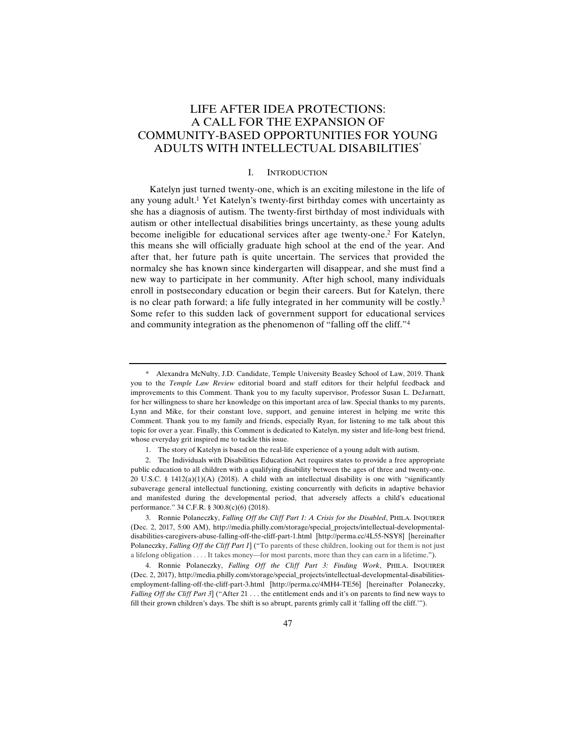# LIFE AFTER IDEA PROTECTIONS: A CALL FOR THE EXPANSION OF COMMUNITY-BASED OPPORTUNITIES FOR YOUNG ADULTS WITH INTELLECTUAL DISABILITIES\*

### I. INTRODUCTION

Katelyn just turned twenty-one, which is an exciting milestone in the life of any young adult.1 Yet Katelyn's twenty-first birthday comes with uncertainty as she has a diagnosis of autism. The twenty-first birthday of most individuals with autism or other intellectual disabilities brings uncertainty, as these young adults become ineligible for educational services after age twenty-one.2 For Katelyn, this means she will officially graduate high school at the end of the year. And after that, her future path is quite uncertain. The services that provided the normalcy she has known since kindergarten will disappear, and she must find a new way to participate in her community. After high school, many individuals enroll in postsecondary education or begin their careers. But for Katelyn, there is no clear path forward; a life fully integrated in her community will be costly.<sup>3</sup> Some refer to this sudden lack of government support for educational services and community integration as the phenomenon of "falling off the cliff."4

<sup>\*</sup> Alexandra McNulty, J.D. Candidate, Temple University Beasley School of Law, 2019. Thank you to the *Temple Law Review* editorial board and staff editors for their helpful feedback and improvements to this Comment. Thank you to my faculty supervisor, Professor Susan L. DeJarnatt, for her willingness to share her knowledge on this important area of law. Special thanks to my parents, Lynn and Mike, for their constant love, support, and genuine interest in helping me write this Comment. Thank you to my family and friends, especially Ryan, for listening to me talk about this topic for over a year. Finally, this Comment is dedicated to Katelyn, my sister and life-long best friend, whose everyday grit inspired me to tackle this issue.

 <sup>1.</sup> The story of Katelyn is based on the real-life experience of a young adult with autism.

 <sup>2.</sup> The Individuals with Disabilities Education Act requires states to provide a free appropriate public education to all children with a qualifying disability between the ages of three and twenty-one. 20 U.S.C. § 1412(a)(1)(A) (2018). A child with an intellectual disability is one with "significantly subaverage general intellectual functioning, existing concurrently with deficits in adaptive behavior and manifested during the developmental period, that adversely affects a child's educational performance." 34 C.F.R. § 300.8(c)(6) (2018).

 <sup>3.</sup> Ronnie Polaneczky, *Falling Off the Cliff Part 1: A Crisis for the Disabled*, PHILA. INQUIRER (Dec. 2, 2017, 5:00 AM), http://media.philly.com/storage/special\_projects/intellectual-developmentaldisabilities-caregivers-abuse-falling-off-the-cliff-part-1.html [http://perma.cc/4L55-NSY8] [hereinafter Polaneczky, *Falling Off the Cliff Part 1*] ("To parents of these children, looking out for them is not just a lifelong obligation . . . . It takes money—for most parents, more than they can earn in a lifetime.").

 <sup>4.</sup> Ronnie Polaneczky, *Falling Off the Cliff Part 3: Finding Work*, PHILA. INQUIRER (Dec. 2, 2017), http://media.philly.com/storage/special\_projects/intellectual-developmental-disabilitiesemployment-falling-off-the-cliff-part-3.html [http://perma.cc/4MH4-TE56] [hereinafter Polaneczky, *Falling Off the Cliff Part 3*] ("After 21 . . . the entitlement ends and it's on parents to find new ways to fill their grown children's days. The shift is so abrupt, parents grimly call it 'falling off the cliff.'").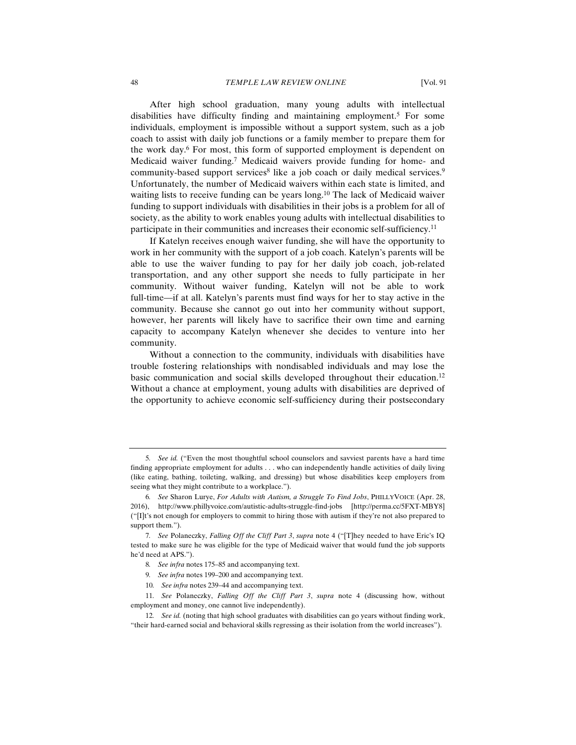After high school graduation, many young adults with intellectual disabilities have difficulty finding and maintaining employment.5 For some individuals, employment is impossible without a support system, such as a job coach to assist with daily job functions or a family member to prepare them for the work day.<sup>6</sup> For most, this form of supported employment is dependent on Medicaid waiver funding.7 Medicaid waivers provide funding for home- and community-based support services<sup>8</sup> like a job coach or daily medical services.<sup>9</sup> Unfortunately, the number of Medicaid waivers within each state is limited, and waiting lists to receive funding can be years long.10 The lack of Medicaid waiver funding to support individuals with disabilities in their jobs is a problem for all of society, as the ability to work enables young adults with intellectual disabilities to participate in their communities and increases their economic self-sufficiency.11

If Katelyn receives enough waiver funding, she will have the opportunity to work in her community with the support of a job coach. Katelyn's parents will be able to use the waiver funding to pay for her daily job coach, job-related transportation, and any other support she needs to fully participate in her community. Without waiver funding, Katelyn will not be able to work full-time—if at all. Katelyn's parents must find ways for her to stay active in the community. Because she cannot go out into her community without support, however, her parents will likely have to sacrifice their own time and earning capacity to accompany Katelyn whenever she decides to venture into her community.

Without a connection to the community, individuals with disabilities have trouble fostering relationships with nondisabled individuals and may lose the basic communication and social skills developed throughout their education.12 Without a chance at employment, young adults with disabilities are deprived of the opportunity to achieve economic self-sufficiency during their postsecondary

<sup>5</sup>*. See id.* ("Even the most thoughtful school counselors and savviest parents have a hard time finding appropriate employment for adults . . . who can independently handle activities of daily living (like eating, bathing, toileting, walking, and dressing) but whose disabilities keep employers from seeing what they might contribute to a workplace.").

<sup>6</sup>*. See* Sharon Lurye, *For Adults with Autism, a Struggle To Find Jobs*, PHILLYVOICE (Apr. 28, 2016), http://www.phillyvoice.com/autistic-adults-struggle-find-jobs [http://perma.cc/5FXT-MBY8] ("[I]t's not enough for employers to commit to hiring those with autism if they're not also prepared to support them.").

<sup>7</sup>*. See* Polaneczky, *Falling Off the Cliff Part 3*, *supra* note 4 ("[T]hey needed to have Eric's IQ tested to make sure he was eligible for the type of Medicaid waiver that would fund the job supports he'd need at APS.").

<sup>8</sup>*. See infra* notes 175–85 and accompanying text.

<sup>9</sup>*. See infra* notes 199–200 and accompanying text.

<sup>10</sup>*. See infra* notes 239–44 and accompanying text.

<sup>11</sup>*. See* Polaneczky, *Falling Off the Cliff Part 3*, *supra* note 4 (discussing how, without employment and money, one cannot live independently).

<sup>12</sup>*. See id.* (noting that high school graduates with disabilities can go years without finding work, "their hard-earned social and behavioral skills regressing as their isolation from the world increases").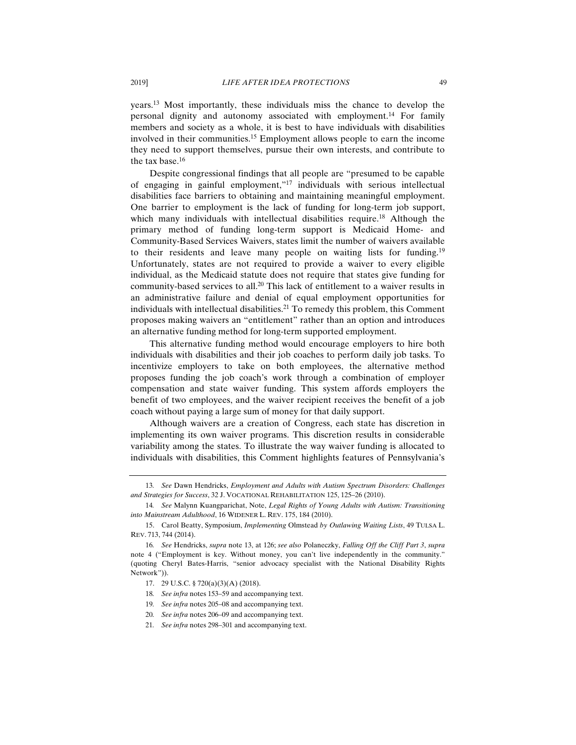years.13 Most importantly, these individuals miss the chance to develop the personal dignity and autonomy associated with employment.14 For family members and society as a whole, it is best to have individuals with disabilities involved in their communities.15 Employment allows people to earn the income they need to support themselves, pursue their own interests, and contribute to the tax base.16

Despite congressional findings that all people are "presumed to be capable of engaging in gainful employment,"17 individuals with serious intellectual disabilities face barriers to obtaining and maintaining meaningful employment. One barrier to employment is the lack of funding for long-term job support, which many individuals with intellectual disabilities require.<sup>18</sup> Although the primary method of funding long-term support is Medicaid Home- and Community-Based Services Waivers, states limit the number of waivers available to their residents and leave many people on waiting lists for funding.19 Unfortunately, states are not required to provide a waiver to every eligible individual, as the Medicaid statute does not require that states give funding for community-based services to all.<sup>20</sup> This lack of entitlement to a waiver results in an administrative failure and denial of equal employment opportunities for individuals with intellectual disabilities.<sup>21</sup> To remedy this problem, this Comment proposes making waivers an "entitlement" rather than an option and introduces an alternative funding method for long-term supported employment.

This alternative funding method would encourage employers to hire both individuals with disabilities and their job coaches to perform daily job tasks. To incentivize employers to take on both employees, the alternative method proposes funding the job coach's work through a combination of employer compensation and state waiver funding. This system affords employers the benefit of two employees, and the waiver recipient receives the benefit of a job coach without paying a large sum of money for that daily support.

Although waivers are a creation of Congress, each state has discretion in implementing its own waiver programs. This discretion results in considerable variability among the states. To illustrate the way waiver funding is allocated to individuals with disabilities, this Comment highlights features of Pennsylvania's

- 19*. See infra* notes 205–08 and accompanying text.
- 20*. See infra* notes 206–09 and accompanying text.
- 21*. See infra* notes 298–301 and accompanying text.

<sup>13</sup>*. See* Dawn Hendricks, *Employment and Adults with Autism Spectrum Disorders: Challenges and Strategies for Success*, 32 J. VOCATIONAL REHABILITATION 125, 125–26 (2010).

<sup>14</sup>*. See* Malynn Kuangparichat, Note, *Legal Rights of Young Adults with Autism: Transitioning into Mainstream Adulthood*, 16 WIDENER L. REV. 175, 184 (2010).

 <sup>15.</sup> Carol Beatty, Symposium, *Implementing* Olmstead *by Outlawing Waiting Lists*, 49 TULSA L. REV. 713, 744 (2014).

<sup>16</sup>*. See* Hendricks, *supra* note 13, at 126; *see also* Polaneczky, *Falling Off the Cliff Part 3*, *supra* note 4 ("Employment is key. Without money, you can't live independently in the community." (quoting Cheryl Bates-Harris, "senior advocacy specialist with the National Disability Rights Network")).

 <sup>17. 29</sup> U.S.C. § 720(a)(3)(A) (2018).

<sup>18</sup>*. See infra* notes 153–59 and accompanying text.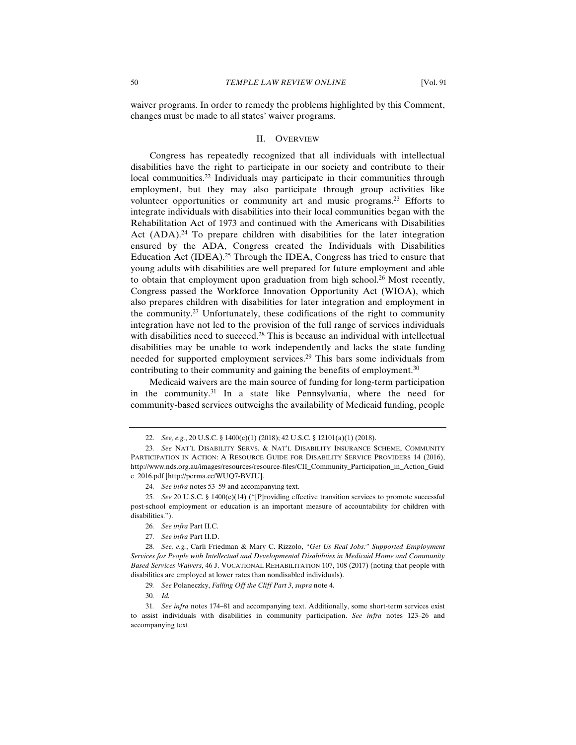waiver programs. In order to remedy the problems highlighted by this Comment, changes must be made to all states' waiver programs.

#### II. OVERVIEW

Congress has repeatedly recognized that all individuals with intellectual disabilities have the right to participate in our society and contribute to their local communities.22 Individuals may participate in their communities through employment, but they may also participate through group activities like volunteer opportunities or community art and music programs.23 Efforts to integrate individuals with disabilities into their local communities began with the Rehabilitation Act of 1973 and continued with the Americans with Disabilities Act  $(ADA)^{24}$  To prepare children with disabilities for the later integration ensured by the ADA, Congress created the Individuals with Disabilities Education Act (IDEA).25 Through the IDEA, Congress has tried to ensure that young adults with disabilities are well prepared for future employment and able to obtain that employment upon graduation from high school.<sup>26</sup> Most recently, Congress passed the Workforce Innovation Opportunity Act (WIOA), which also prepares children with disabilities for later integration and employment in the community.27 Unfortunately, these codifications of the right to community integration have not led to the provision of the full range of services individuals with disabilities need to succeed.<sup>28</sup> This is because an individual with intellectual disabilities may be unable to work independently and lacks the state funding needed for supported employment services.29 This bars some individuals from contributing to their community and gaining the benefits of employment.<sup>30</sup>

Medicaid waivers are the main source of funding for long-term participation in the community.31 In a state like Pennsylvania, where the need for community-based services outweighs the availability of Medicaid funding, people

<sup>22</sup>*. See, e.g.*, 20 U.S.C. § 1400(c)(1) (2018); 42 U.S.C. § 12101(a)(1) (2018).

<sup>23</sup>*. See* NAT'L DISABILITY SERVS. & NAT'L DISABILITY INSURANCE SCHEME, COMMUNITY PARTICIPATION IN ACTION: A RESOURCE GUIDE FOR DISABILITY SERVICE PROVIDERS 14 (2016), http://www.nds.org.au/images/resources/resource-files/CII\_Community\_Participation\_in\_Action\_Guid e\_2016.pdf [http://perma.cc/WUQ7-BVJU].

<sup>24</sup>*. See infra* notes 53–59 and accompanying text.

<sup>25</sup>*. See* 20 U.S.C. § 1400(c)(14) ("[P]roviding effective transition services to promote successful post-school employment or education is an important measure of accountability for children with disabilities.").

<sup>26</sup>*. See infra* Part II.C.

<sup>27</sup>*. See infra* Part II.D.

<sup>28</sup>*. See, e.g.*, Carli Friedman & Mary C. Rizzolo, *"Get Us Real Jobs:" Supported Employment Services for People with Intellectual and Developmental Disabilities in Medicaid Home and Community Based Services Waivers*, 46 J. VOCATIONAL REHABILITATION 107, 108 (2017) (noting that people with disabilities are employed at lower rates than nondisabled individuals).

<sup>29</sup>*. See* Polaneczky, *Falling Off the Cliff Part 3*, *supra* note 4.

<sup>30</sup>*. Id.*

<sup>31</sup>*. See infra* notes 174–81 and accompanying text. Additionally, some short-term services exist to assist individuals with disabilities in community participation. *See infra* notes 123–26 and accompanying text.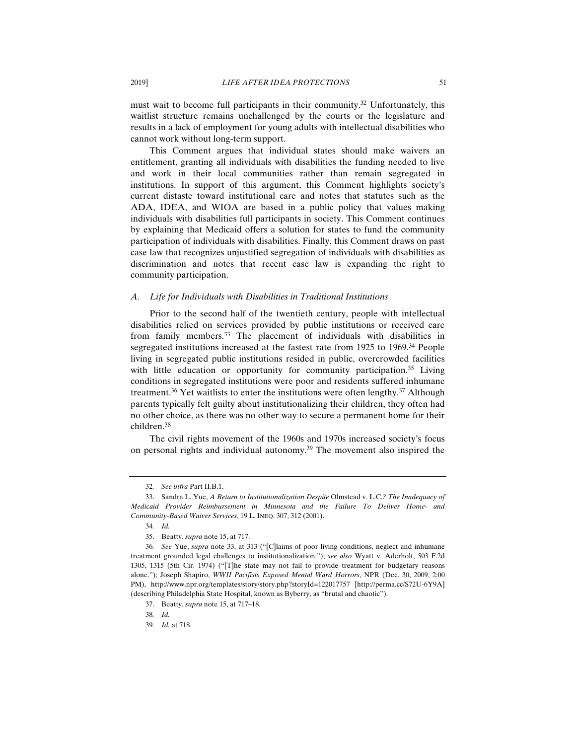must wait to become full participants in their community.<sup>32</sup> Unfortunately, this waitlist structure remains unchallenged by the courts or the legislature and results in a lack of employment for young adults with intellectual disabilities who cannot work without long-term support.

This Comment argues that individual states should make waivers an entitlement, granting all individuals with disabilities the funding needed to live and work in their local communities rather than remain segregated in institutions. In support of this argument, this Comment highlights society's current distaste toward institutional care and notes that statutes such as the ADA, IDEA, and WIOA are based in a public policy that values making individuals with disabilities full participants in society. This Comment continues by explaining that Medicaid offers a solution for states to fund the community participation of individuals with disabilities. Finally, this Comment draws on past case law that recognizes unjustified segregation of individuals with disabilities as discrimination and notes that recent case law is expanding the right to community participation.

### *A. Life for Individuals with Disabilities in Traditional Institutions*

Prior to the second half of the twentieth century, people with intellectual disabilities relied on services provided by public institutions or received care from family members.33 The placement of individuals with disabilities in segregated institutions increased at the fastest rate from 1925 to 1969.<sup>34</sup> People living in segregated public institutions resided in public, overcrowded facilities with little education or opportunity for community participation.<sup>35</sup> Living conditions in segregated institutions were poor and residents suffered inhumane treatment.<sup>36</sup> Yet waitlists to enter the institutions were often lengthy.<sup>37</sup> Although parents typically felt guilty about institutionalizing their children, they often had no other choice, as there was no other way to secure a permanent home for their children.38

The civil rights movement of the 1960s and 1970s increased society's focus on personal rights and individual autonomy.<sup>39</sup> The movement also inspired the

<sup>32</sup>*. See infra* Part II.B.1.

 <sup>33.</sup> Sandra L. Yue, *A Return to Institutionalization Despite* Olmstead v. L.C.*? The Inadequacy of Medicaid Provider Reimbursement in Minnesota and the Failure To Deliver Home- and Community-Based Waiver Services*, 19 L. INEQ. 307, 312 (2001).

<sup>34</sup>*. Id.*

 <sup>35.</sup> Beatty, *supra* note 15, at 717.

<sup>36</sup>*. See* Yue, *supra* note 33, at 313 ("[C]laims of poor living conditions, neglect and inhumane treatment grounded legal challenges to institutionalization."); *see also* Wyatt v. Aderholt, 503 F.2d 1305, 1315 (5th Cir. 1974) ("[T]he state may not fail to provide treatment for budgetary reasons alone."); Joseph Shapiro, *WWII Pacifists Exposed Mental Ward Horrors*, NPR (Dec. 30, 2009, 2:00 PM), http://www.npr.org/templates/story/story.php?storyId=122017757 [http://perma.cc/S72U-6Y9A] (describing Philadelphia State Hospital, known as Byberry, as "brutal and chaotic").

 <sup>37.</sup> Beatty, *supra* note 15, at 717–18.

<sup>38</sup>*. Id.*

<sup>39</sup>*. Id.* at 718.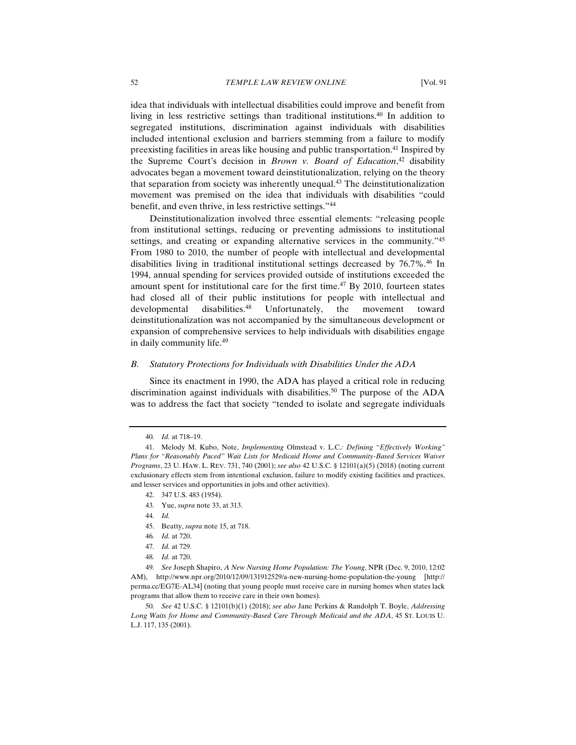idea that individuals with intellectual disabilities could improve and benefit from living in less restrictive settings than traditional institutions.40 In addition to segregated institutions, discrimination against individuals with disabilities included intentional exclusion and barriers stemming from a failure to modify preexisting facilities in areas like housing and public transportation.<sup>41</sup> Inspired by the Supreme Court's decision in *Brown v. Board of Education*, 42 disability advocates began a movement toward deinstitutionalization, relying on the theory that separation from society was inherently unequal.43 The deinstitutionalization movement was premised on the idea that individuals with disabilities "could benefit, and even thrive, in less restrictive settings."44

Deinstitutionalization involved three essential elements: "releasing people from institutional settings, reducing or preventing admissions to institutional settings, and creating or expanding alternative services in the community.<sup>245</sup> From 1980 to 2010, the number of people with intellectual and developmental disabilities living in traditional institutional settings decreased by 76.7%.46 In 1994, annual spending for services provided outside of institutions exceeded the amount spent for institutional care for the first time. $47$  By 2010, fourteen states had closed all of their public institutions for people with intellectual and developmental disabilities.<sup>48</sup> Unfortunately, the movement toward deinstitutionalization was not accompanied by the simultaneous development or expansion of comprehensive services to help individuals with disabilities engage in daily community life.49

#### *B. Statutory Protections for Individuals with Disabilities Under the ADA*

Since its enactment in 1990, the ADA has played a critical role in reducing discrimination against individuals with disabilities.<sup>50</sup> The purpose of the ADA was to address the fact that society "tended to isolate and segregate individuals

45. Beatty, *supra* note 15, at 718.

50*. See* 42 U.S.C. § 12101(b)(1) (2018); *see also* Jane Perkins & Randolph T. Boyle, *Addressing Long Waits for Home and Community-Based Care Through Medicaid and the ADA*, 45 ST. LOUIS U. L.J. 117, 135 (2001).

<sup>40</sup>*. Id.* at 718–19.

 <sup>41.</sup> Melody M. Kubo, Note, *Implementing* Olmstead v. L.C.*: Defining "Effectively Working" Plans for "Reasonably Paced" Wait Lists for Medicaid Home and Community-Based Services Waiver Programs*, 23 U. HAW. L. REV. 731, 740 (2001); *see also* 42 U.S.C. § 12101(a)(5) (2018) (noting current exclusionary effects stem from intentional exclusion, failure to modify existing facilities and practices, and lesser services and opportunities in jobs and other activities).

 <sup>42. 347</sup> U.S. 483 (1954).

 <sup>43.</sup> Yue, *supra* note 33, at 313.

<sup>44</sup>*. Id.*

<sup>46</sup>*. Id.* at 720.

<sup>47</sup>*. Id.* at 729.

<sup>48</sup>*. Id.* at 720.

<sup>49</sup>*. See* Joseph Shapiro, *A New Nursing Home Population: The Young*, NPR (Dec. 9, 2010, 12:02 AM), http://www.npr.org/2010/12/09/131912529/a-new-nursing-home-population-the-young [http:// perma.cc/EG7E-AL34] (noting that young people must receive care in nursing homes when states lack programs that allow them to receive care in their own homes).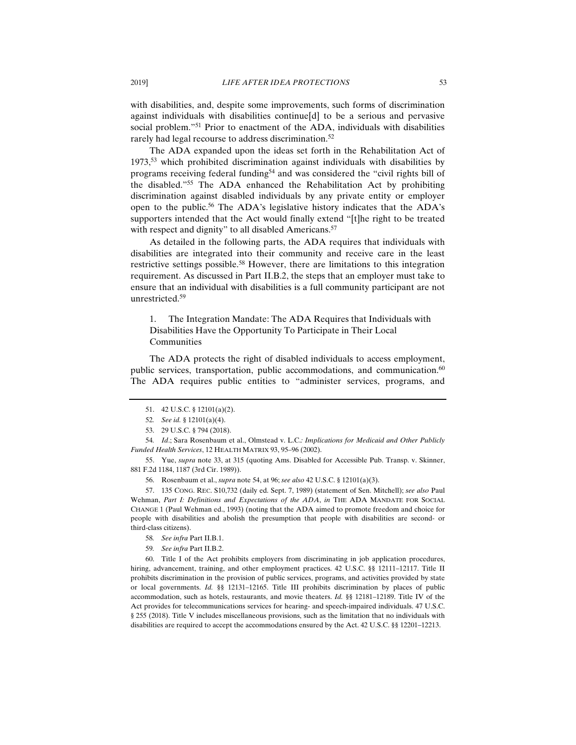with disabilities, and, despite some improvements, such forms of discrimination against individuals with disabilities continue[d] to be a serious and pervasive social problem."<sup>51</sup> Prior to enactment of the ADA, individuals with disabilities rarely had legal recourse to address discrimination.<sup>52</sup>

The ADA expanded upon the ideas set forth in the Rehabilitation Act of 1973,53 which prohibited discrimination against individuals with disabilities by programs receiving federal funding<sup>54</sup> and was considered the "civil rights bill of the disabled."55 The ADA enhanced the Rehabilitation Act by prohibiting discrimination against disabled individuals by any private entity or employer open to the public.<sup>56</sup> The ADA's legislative history indicates that the ADA's supporters intended that the Act would finally extend "[t]he right to be treated with respect and dignity" to all disabled Americans.<sup>57</sup>

As detailed in the following parts, the ADA requires that individuals with disabilities are integrated into their community and receive care in the least restrictive settings possible.58 However, there are limitations to this integration requirement. As discussed in Part II.B.2, the steps that an employer must take to ensure that an individual with disabilities is a full community participant are not unrestricted.59

1. The Integration Mandate: The ADA Requires that Individuals with Disabilities Have the Opportunity To Participate in Their Local Communities

The ADA protects the right of disabled individuals to access employment, public services, transportation, public accommodations, and communication.<sup>60</sup> The ADA requires public entities to "administer services, programs, and

54*. Id*.; Sara Rosenbaum et al., Olmstead v. L.C.*: Implications for Medicaid and Other Publicly Funded Health Services*, 12 HEALTH MATRIX 93, 95–96 (2002).

 55. Yue, *supra* note 33, at 315 (quoting Ams. Disabled for Accessible Pub. Transp. v. Skinner, 881 F.2d 1184, 1187 (3rd Cir. 1989)).

56. Rosenbaum et al., *supra* note 54, at 96; *see also* 42 U.S.C. § 12101(a)(3).

 57. 135 CONG. REC. S10,732 (daily ed. Sept. 7, 1989) (statement of Sen. Mitchell); *see also* Paul Wehman, *Part I: Definitions and Expectations of the ADA*, *in* THE ADA MANDATE FOR SOCIAL CHANGE 1 (Paul Wehman ed., 1993) (noting that the ADA aimed to promote freedom and choice for people with disabilities and abolish the presumption that people with disabilities are second- or third-class citizens).

- 58*. See infra* Part II.B.1.
- 59*. See infra* Part II.B.2.

 60. Title I of the Act prohibits employers from discriminating in job application procedures, hiring, advancement, training, and other employment practices. 42 U.S.C. §§ 12111-12117. Title II prohibits discrimination in the provision of public services, programs, and activities provided by state or local governments. *Id.* §§ 12131–12165. Title III prohibits discrimination by places of public accommodation, such as hotels, restaurants, and movie theaters. *Id.* §§ 12181–12189. Title IV of the Act provides for telecommunications services for hearing- and speech-impaired individuals. 47 U.S.C. § 255 (2018). Title V includes miscellaneous provisions, such as the limitation that no individuals with disabilities are required to accept the accommodations ensured by the Act. 42 U.S.C. §§ 12201–12213.

 <sup>51. 42</sup> U.S.C. § 12101(a)(2).

<sup>52</sup>*. See id.* § 12101(a)(4).

 <sup>53. 29</sup> U.S.C. § 794 (2018).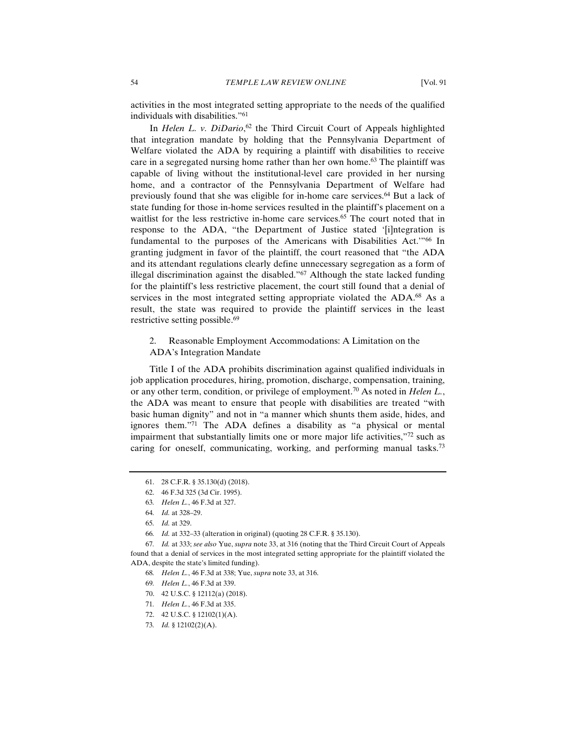activities in the most integrated setting appropriate to the needs of the qualified individuals with disabilities."61

In *Helen L. v. DiDario*, 62 the Third Circuit Court of Appeals highlighted that integration mandate by holding that the Pennsylvania Department of Welfare violated the ADA by requiring a plaintiff with disabilities to receive care in a segregated nursing home rather than her own home.63 The plaintiff was capable of living without the institutional-level care provided in her nursing home, and a contractor of the Pennsylvania Department of Welfare had previously found that she was eligible for in-home care services.64 But a lack of state funding for those in-home services resulted in the plaintiff's placement on a waitlist for the less restrictive in-home care services.<sup>65</sup> The court noted that in response to the ADA, "the Department of Justice stated '[i]ntegration is fundamental to the purposes of the Americans with Disabilities Act.'"66 In granting judgment in favor of the plaintiff, the court reasoned that "the ADA and its attendant regulations clearly define unnecessary segregation as a form of illegal discrimination against the disabled."<sup>67</sup> Although the state lacked funding for the plaintiff's less restrictive placement, the court still found that a denial of services in the most integrated setting appropriate violated the ADA.<sup>68</sup> As a result, the state was required to provide the plaintiff services in the least restrictive setting possible.<sup>69</sup>

# 2. Reasonable Employment Accommodations: A Limitation on the ADA's Integration Mandate

Title I of the ADA prohibits discrimination against qualified individuals in job application procedures, hiring, promotion, discharge, compensation, training, or any other term, condition, or privilege of employment.70 As noted in *Helen L.*, the ADA was meant to ensure that people with disabilities are treated "with basic human dignity" and not in "a manner which shunts them aside, hides, and ignores them. $\overline{r}$ <sup>71</sup> The ADA defines a disability as "a physical or mental impairment that substantially limits one or more major life activities,"72 such as caring for oneself, communicating, working, and performing manual tasks.<sup>73</sup>

 <sup>61. 28</sup> C.F.R. § 35.130(d) (2018).

 <sup>62. 46</sup> F.3d 325 (3d Cir. 1995).

<sup>63</sup>*. Helen L.*, 46 F.3d at 327.

<sup>64</sup>*. Id.* at 328–29.

<sup>65</sup>*. Id.* at 329.

<sup>66</sup>*. Id.* at 332–33 (alteration in original) (quoting 28 C.F.R. § 35.130).

<sup>67</sup>*. Id.* at 333; *see also* Yue, *supra* note 33, at 316 (noting that the Third Circuit Court of Appeals found that a denial of services in the most integrated setting appropriate for the plaintiff violated the ADA, despite the state's limited funding).

<sup>68</sup>*. Helen L.*, 46 F.3d at 338; Yue, *supra* note 33, at 316.

<sup>69</sup>*. Helen L.*, 46 F.3d at 339.

 <sup>70. 42</sup> U.S.C. § 12112(a) (2018).

<sup>71</sup>*. Helen L.*, 46 F.3d at 335.

 <sup>72. 42</sup> U.S.C. § 12102(1)(A).

<sup>73</sup>*. Id.* § 12102(2)(A).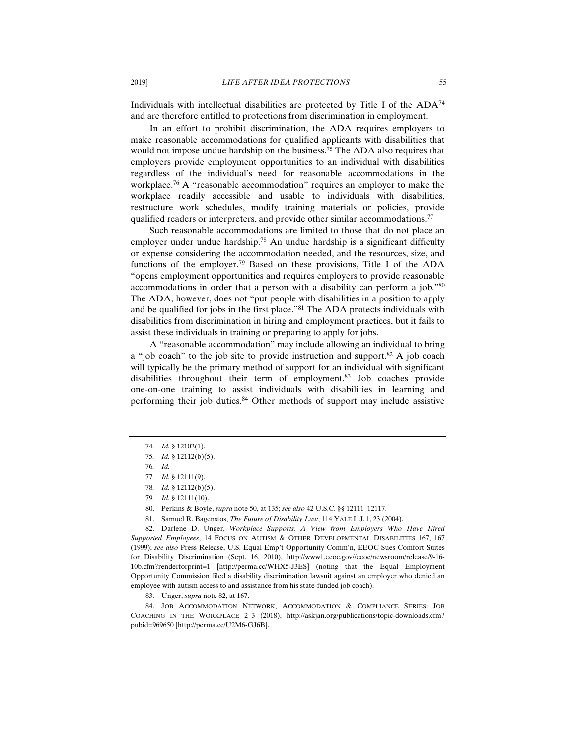Individuals with intellectual disabilities are protected by Title I of the  $ADA^{74}$ and are therefore entitled to protections from discrimination in employment.

In an effort to prohibit discrimination, the ADA requires employers to make reasonable accommodations for qualified applicants with disabilities that would not impose undue hardship on the business.75 The ADA also requires that employers provide employment opportunities to an individual with disabilities regardless of the individual's need for reasonable accommodations in the workplace.<sup>76</sup> A "reasonable accommodation" requires an employer to make the workplace readily accessible and usable to individuals with disabilities, restructure work schedules, modify training materials or policies, provide qualified readers or interpreters, and provide other similar accommodations.<sup>77</sup>

Such reasonable accommodations are limited to those that do not place an employer under undue hardship.<sup>78</sup> An undue hardship is a significant difficulty or expense considering the accommodation needed, and the resources, size, and functions of the employer.79 Based on these provisions, Title I of the ADA "opens employment opportunities and requires employers to provide reasonable accommodations in order that a person with a disability can perform a job."80 The ADA, however, does not "put people with disabilities in a position to apply and be qualified for jobs in the first place."81 The ADA protects individuals with disabilities from discrimination in hiring and employment practices, but it fails to assist these individuals in training or preparing to apply for jobs.

A "reasonable accommodation" may include allowing an individual to bring a "job coach" to the job site to provide instruction and support. $82$  A job coach will typically be the primary method of support for an individual with significant disabilities throughout their term of employment.83 Job coaches provide one-on-one training to assist individuals with disabilities in learning and performing their job duties.84 Other methods of support may include assistive

- 80. Perkins & Boyle, *supra* note 50, at 135; *see also* 42 U.S.C. §§ 12111–12117.
- 81. Samuel R. Bagenstos, *The Future of Disability Law*, 114 YALE L.J. 1, 23 (2004).

 82. Darlene D. Unger, *Workplace Supports: A View from Employers Who Have Hired Supported Employees*, 14 FOCUS ON AUTISM & OTHER DEVELOPMENTAL DISABILITIES 167, 167 (1999); *see also* Press Release, U.S. Equal Emp't Opportunity Comm'n, EEOC Sues Comfort Suites for Disability Discrimination (Sept. 16, 2010), http://www1.eeoc.gov//eeoc/newsroom/release/9-16- 10b.cfm?renderforprint=1 [http://perma.cc/WHX5-J3ES] (noting that the Equal Employment Opportunity Commission filed a disability discrimination lawsuit against an employer who denied an employee with autism access to and assistance from his state-funded job coach).

83. Unger, *supra* note 82, at 167.

 84. JOB ACCOMMODATION NETWORK, ACCOMMODATION & COMPLIANCE SERIES: JOB COACHING IN THE WORKPLACE 2–3 (2018), http://askjan.org/publications/topic-downloads.cfm? pubid=969650 [http://perma.cc/U2M6-GJ6B].

<sup>74</sup>*. Id.* § 12102(1).

<sup>75</sup>*. Id.* § 12112(b)(5).

<sup>76</sup>*. Id.*

<sup>77</sup>*. Id.* § 12111(9).

<sup>78</sup>*. Id.* § 12112(b)(5).

<sup>79</sup>*. Id.* § 12111(10).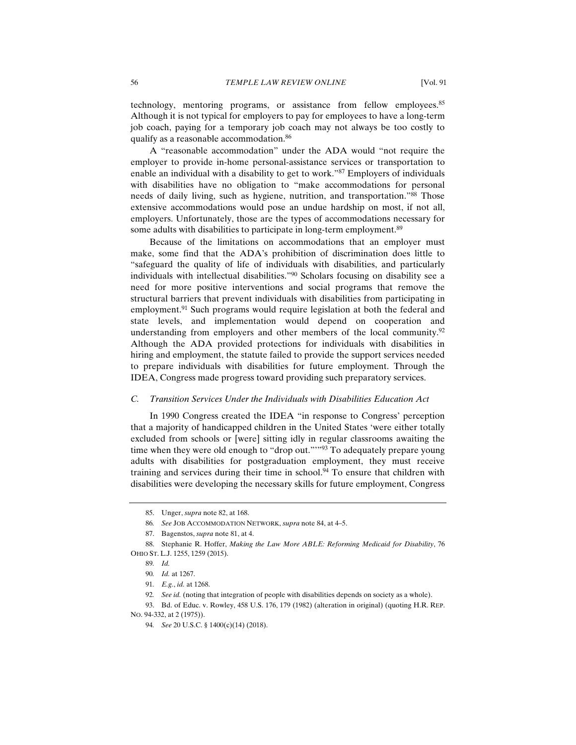technology, mentoring programs, or assistance from fellow employees.<sup>85</sup> Although it is not typical for employers to pay for employees to have a long-term job coach, paying for a temporary job coach may not always be too costly to qualify as a reasonable accommodation.86

A "reasonable accommodation" under the ADA would "not require the employer to provide in-home personal-assistance services or transportation to enable an individual with a disability to get to work."87 Employers of individuals with disabilities have no obligation to "make accommodations for personal needs of daily living, such as hygiene, nutrition, and transportation."88 Those extensive accommodations would pose an undue hardship on most, if not all, employers. Unfortunately, those are the types of accommodations necessary for some adults with disabilities to participate in long-term employment.<sup>89</sup>

Because of the limitations on accommodations that an employer must make, some find that the ADA's prohibition of discrimination does little to "safeguard the quality of life of individuals with disabilities, and particularly individuals with intellectual disabilities."90 Scholars focusing on disability see a need for more positive interventions and social programs that remove the structural barriers that prevent individuals with disabilities from participating in employment.<sup>91</sup> Such programs would require legislation at both the federal and state levels, and implementation would depend on cooperation and understanding from employers and other members of the local community.<sup>92</sup> Although the ADA provided protections for individuals with disabilities in hiring and employment, the statute failed to provide the support services needed to prepare individuals with disabilities for future employment. Through the IDEA, Congress made progress toward providing such preparatory services.

#### *C. Transition Services Under the Individuals with Disabilities Education Act*

In 1990 Congress created the IDEA "in response to Congress' perception that a majority of handicapped children in the United States 'were either totally excluded from schools or [were] sitting idly in regular classrooms awaiting the time when they were old enough to "drop out.""<sup>93</sup> To adequately prepare young adults with disabilities for postgraduation employment, they must receive training and services during their time in school.<sup>94</sup> To ensure that children with disabilities were developing the necessary skills for future employment, Congress

 <sup>85.</sup> Unger, *supra* note 82, at 168.

<sup>86</sup>*. See* JOB ACCOMMODATION NETWORK, *supra* note 84, at 4–5.

 <sup>87.</sup> Bagenstos, *supra* note 81, at 4.

 <sup>88.</sup> Stephanie R. Hoffer, *Making the Law More ABLE: Reforming Medicaid for Disability*, 76 OHIO ST. L.J. 1255, 1259 (2015).

<sup>89</sup>*. Id.*

<sup>90</sup>*. Id.* at 1267.

<sup>91</sup>*. E.g.*, *id.* at 1268.

<sup>92</sup>*. See id.* (noting that integration of people with disabilities depends on society as a whole).

 <sup>93.</sup> Bd. of Educ. v. Rowley, 458 U.S. 176, 179 (1982) (alteration in original) (quoting H.R. REP. NO. 94-332, at 2 (1975)).

<sup>94</sup>*. See* 20 U.S.C. § 1400(c)(14) (2018).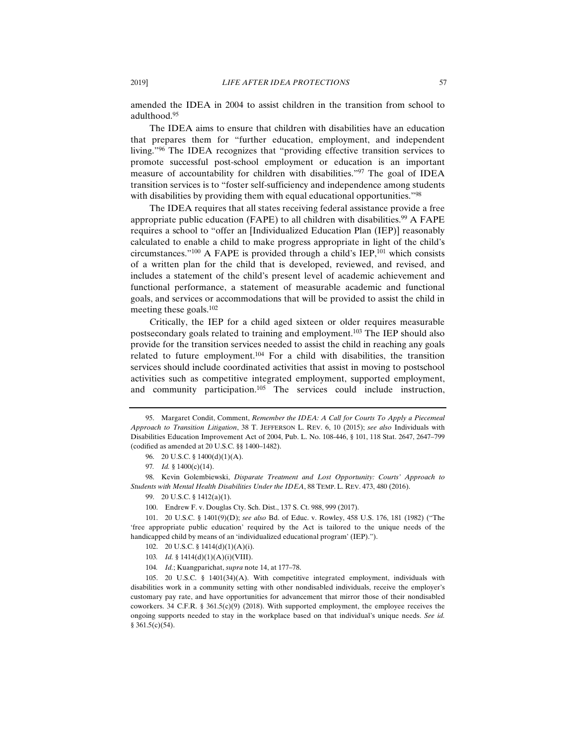amended the IDEA in 2004 to assist children in the transition from school to adulthood.95

The IDEA aims to ensure that children with disabilities have an education that prepares them for "further education, employment, and independent living."96 The IDEA recognizes that "providing effective transition services to promote successful post-school employment or education is an important measure of accountability for children with disabilities."97 The goal of IDEA transition services is to "foster self-sufficiency and independence among students with disabilities by providing them with equal educational opportunities."<sup>98</sup>

The IDEA requires that all states receiving federal assistance provide a free appropriate public education (FAPE) to all children with disabilities.<sup>99</sup> A FAPE requires a school to "offer an [Individualized Education Plan (IEP)] reasonably calculated to enable a child to make progress appropriate in light of the child's circumstances." $100$  A FAPE is provided through a child's IEP, $101$  which consists of a written plan for the child that is developed, reviewed, and revised, and includes a statement of the child's present level of academic achievement and functional performance, a statement of measurable academic and functional goals, and services or accommodations that will be provided to assist the child in meeting these goals.102

Critically, the IEP for a child aged sixteen or older requires measurable postsecondary goals related to training and employment.<sup>103</sup> The IEP should also provide for the transition services needed to assist the child in reaching any goals related to future employment.<sup>104</sup> For a child with disabilities, the transition services should include coordinated activities that assist in moving to postschool activities such as competitive integrated employment, supported employment, and community participation.105 The services could include instruction,

 101. 20 U.S.C. § 1401(9)(D); *see also* Bd. of Educ. v. Rowley, 458 U.S. 176, 181 (1982) ("The 'free appropriate public education' required by the Act is tailored to the unique needs of the handicapped child by means of an 'individualized educational program' (IEP).").

104*. Id.*; Kuangparichat, *supra* note 14, at 177–78.

 105. 20 U.S.C. § 1401(34)(A). With competitive integrated employment, individuals with disabilities work in a community setting with other nondisabled individuals, receive the employer's customary pay rate, and have opportunities for advancement that mirror those of their nondisabled coworkers. 34 C.F.R. § 361.5(c)(9) (2018). With supported employment, the employee receives the ongoing supports needed to stay in the workplace based on that individual's unique needs. *See id.* § 361.5(c)(54).

 <sup>95.</sup> Margaret Condit, Comment, *Remember the IDEA: A Call for Courts To Apply a Piecemeal Approach to Transition Litigation*, 38 T. JEFFERSON L. REV. 6, 10 (2015); *see also* Individuals with Disabilities Education Improvement Act of 2004, Pub. L. No. 108-446, § 101, 118 Stat. 2647, 2647–799 (codified as amended at 20 U.S.C. §§ 1400–1482).

<sup>96. 20</sup> U.S.C. § 1400(d)(1)(A).

<sup>97</sup>*. Id.* § 1400(c)(14).

 <sup>98.</sup> Kevin Golembiewski, *Disparate Treatment and Lost Opportunity: Courts' Approach to Students with Mental Health Disabilities Under the IDEA*, 88 TEMP. L. REV. 473, 480 (2016).

 <sup>99. 20</sup> U.S.C. § 1412(a)(1).

 <sup>100.</sup> Endrew F. v. Douglas Cty. Sch. Dist., 137 S. Ct. 988, 999 (2017).

 <sup>102. 20</sup> U.S.C. § 1414(d)(1)(A)(i).

<sup>103</sup>*. Id.* § 1414(d)(1)(A)(i)(VIII).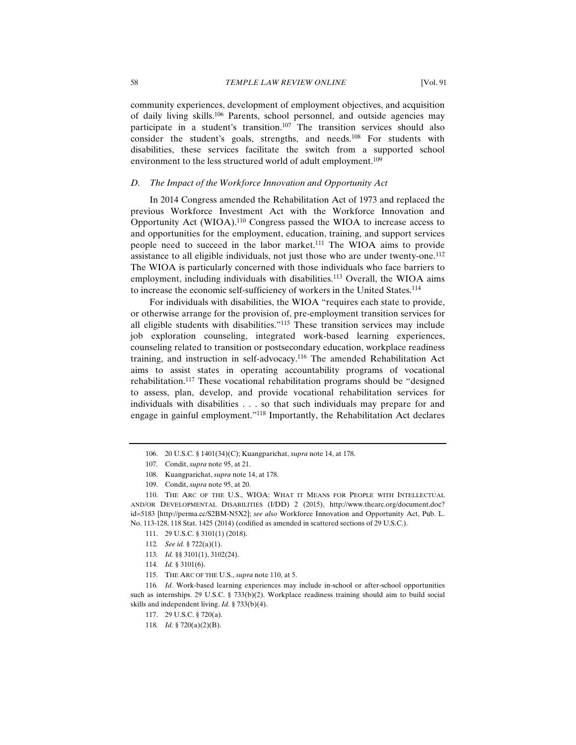community experiences, development of employment objectives, and acquisition of daily living skills.106 Parents, school personnel, and outside agencies may participate in a student's transition.<sup>107</sup> The transition services should also consider the student's goals, strengths, and needs.108 For students with disabilities, these services facilitate the switch from a supported school environment to the less structured world of adult employment.<sup>109</sup>

### *D. The Impact of the Workforce Innovation and Opportunity Act*

In 2014 Congress amended the Rehabilitation Act of 1973 and replaced the previous Workforce Investment Act with the Workforce Innovation and Opportunity Act (WIOA).110 Congress passed the WIOA to increase access to and opportunities for the employment, education, training, and support services people need to succeed in the labor market.111 The WIOA aims to provide assistance to all eligible individuals, not just those who are under twenty-one.112 The WIOA is particularly concerned with those individuals who face barriers to employment, including individuals with disabilities.<sup>113</sup> Overall, the WIOA aims to increase the economic self-sufficiency of workers in the United States.114

For individuals with disabilities, the WIOA "requires each state to provide, or otherwise arrange for the provision of, pre-employment transition services for all eligible students with disabilities."115 These transition services may include job exploration counseling, integrated work-based learning experiences, counseling related to transition or postsecondary education, workplace readiness training, and instruction in self-advocacy.<sup>116</sup> The amended Rehabilitation Act aims to assist states in operating accountability programs of vocational rehabilitation.<sup>117</sup> These vocational rehabilitation programs should be "designed to assess, plan, develop, and provide vocational rehabilitation services for individuals with disabilities . . . so that such individuals may prepare for and engage in gainful employment."118 Importantly, the Rehabilitation Act declares

115. THE ARC OF THE U.S., *supra* note 110, at 5.

116*. Id.* Work-based learning experiences may include in-school or after-school opportunities such as internships. 29 U.S.C. § 733(b)(2). Workplace readiness training should aim to build social skills and independent living. *Id.* § 733(b)(4).

117. 29 U.S.C. § 720(a).

 <sup>106. 20</sup> U.S.C. § 1401(34)(C); Kuangparichat, *supra* note 14, at 178.

 <sup>107.</sup> Condit, *supra* note 95, at 21.

 <sup>108.</sup> Kuangparichat, *supra* note 14, at 178.

 <sup>109.</sup> Condit, *supra* note 95, at 20.

 <sup>110.</sup> THE ARC OF THE U.S., WIOA: WHAT IT MEANS FOR PEOPLE WITH INTELLECTUAL AND/OR DEVELOPMENTAL DISABILITIES (I/DD) 2 (2015), http://www.thearc.org/document.doc? id=5183 [http://perma.cc/S2BM-N5X2]; *see also* Workforce Innovation and Opportunity Act, Pub. L. No. 113-128, 118 Stat. 1425 (2014) (codified as amended in scattered sections of 29 U.S.C.).

 <sup>111. 29</sup> U.S.C. § 3101(1) (2018).

<sup>112</sup>*. See id.* § 722(a)(1).

<sup>113</sup>*. Id.* §§ 3101(1), 3102(24).

<sup>114</sup>*. Id.* § 3101(6).

<sup>118</sup>*. Id.* § 720(a)(2)(B).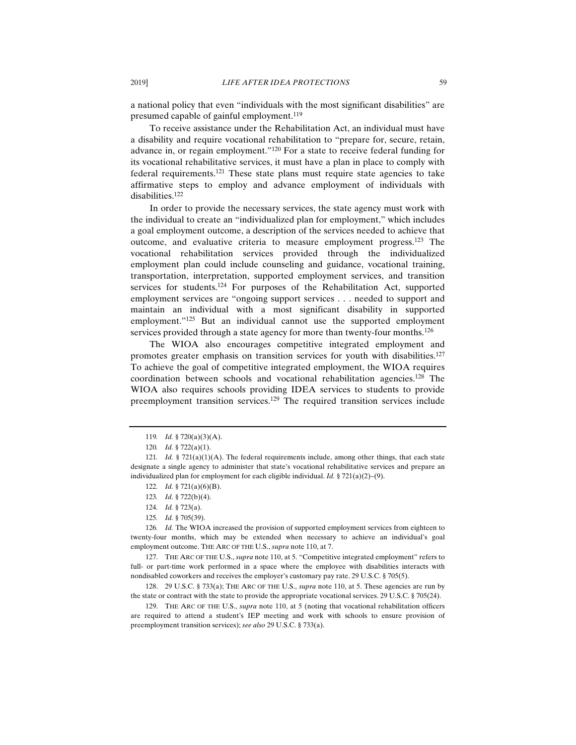a national policy that even "individuals with the most significant disabilities" are presumed capable of gainful employment.<sup>119</sup>

To receive assistance under the Rehabilitation Act, an individual must have a disability and require vocational rehabilitation to "prepare for, secure, retain, advance in, or regain employment."120 For a state to receive federal funding for its vocational rehabilitative services, it must have a plan in place to comply with federal requirements.121 These state plans must require state agencies to take affirmative steps to employ and advance employment of individuals with disabilities.122

In order to provide the necessary services, the state agency must work with the individual to create an "individualized plan for employment," which includes a goal employment outcome, a description of the services needed to achieve that outcome, and evaluative criteria to measure employment progress.123 The vocational rehabilitation services provided through the individualized employment plan could include counseling and guidance, vocational training, transportation, interpretation, supported employment services, and transition services for students.<sup>124</sup> For purposes of the Rehabilitation Act, supported employment services are "ongoing support services . . . needed to support and maintain an individual with a most significant disability in supported employment."<sup>125</sup> But an individual cannot use the supported employment services provided through a state agency for more than twenty-four months.<sup>126</sup>

The WIOA also encourages competitive integrated employment and promotes greater emphasis on transition services for youth with disabilities.<sup>127</sup> To achieve the goal of competitive integrated employment, the WIOA requires coordination between schools and vocational rehabilitation agencies.128 The WIOA also requires schools providing IDEA services to students to provide preemployment transition services.<sup>129</sup> The required transition services include

 127. THE ARC OF THE U.S., *supra* note 110, at 5. "Competitive integrated employment" refers to full- or part-time work performed in a space where the employee with disabilities interacts with nondisabled coworkers and receives the employer's customary pay rate. 29 U.S.C. § 705(5).

 129. THE ARC OF THE U.S., *supra* note 110, at 5 (noting that vocational rehabilitation officers are required to attend a student's IEP meeting and work with schools to ensure provision of preemployment transition services); *see also* 29 U.S.C. § 733(a).

<sup>119</sup>*. Id.* § 720(a)(3)(A).

<sup>120</sup>*. Id.* § 722(a)(1).

<sup>121</sup>*. Id.* § 721(a)(1)(A). The federal requirements include, among other things, that each state designate a single agency to administer that state's vocational rehabilitative services and prepare an individualized plan for employment for each eligible individual. *Id.* § 721(a)(2)–(9).

<sup>122</sup>*. Id.* § 721(a)(6)(B).

<sup>123</sup>*. Id.* § 722(b)(4).

<sup>124</sup>*. Id.* § 723(a).

<sup>125</sup>*. Id.* § 705(39).

<sup>126</sup>*. Id.* The WIOA increased the provision of supported employment services from eighteen to twenty-four months, which may be extended when necessary to achieve an individual's goal employment outcome. THE ARC OF THE U.S., *supra* note 110, at 7.

 <sup>128. 29</sup> U.S.C. § 733(a); THE ARC OF THE U.S., *supra* note 110, at 5. These agencies are run by the state or contract with the state to provide the appropriate vocational services. 29 U.S.C. § 705(24).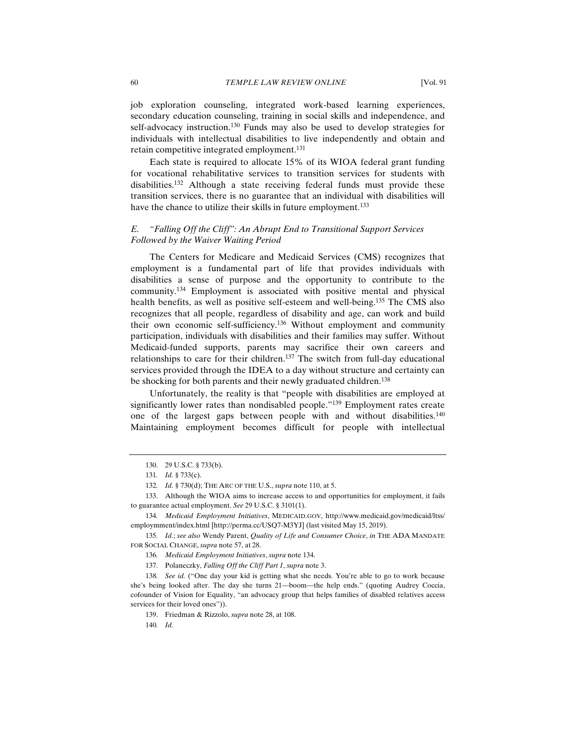job exploration counseling, integrated work-based learning experiences, secondary education counseling, training in social skills and independence, and self-advocacy instruction.<sup>130</sup> Funds may also be used to develop strategies for individuals with intellectual disabilities to live independently and obtain and retain competitive integrated employment.<sup>131</sup>

Each state is required to allocate 15% of its WIOA federal grant funding for vocational rehabilitative services to transition services for students with disabilities.<sup>132</sup> Although a state receiving federal funds must provide these transition services, there is no guarantee that an individual with disabilities will have the chance to utilize their skills in future employment.<sup>133</sup>

# *E. "Falling Off the Cliff": An Abrupt End to Transitional Support Services Followed by the Waiver Waiting Period*

The Centers for Medicare and Medicaid Services (CMS) recognizes that employment is a fundamental part of life that provides individuals with disabilities a sense of purpose and the opportunity to contribute to the community.134 Employment is associated with positive mental and physical health benefits, as well as positive self-esteem and well-being.135 The CMS also recognizes that all people, regardless of disability and age, can work and build their own economic self-sufficiency.136 Without employment and community participation, individuals with disabilities and their families may suffer. Without Medicaid-funded supports, parents may sacrifice their own careers and relationships to care for their children.<sup>137</sup> The switch from full-day educational services provided through the IDEA to a day without structure and certainty can be shocking for both parents and their newly graduated children.<sup>138</sup>

Unfortunately, the reality is that "people with disabilities are employed at significantly lower rates than nondisabled people."<sup>139</sup> Employment rates create one of the largest gaps between people with and without disabilities.140 Maintaining employment becomes difficult for people with intellectual

140*. Id.*

 <sup>130. 29</sup> U.S.C. § 733(b).

<sup>131</sup>*. Id.* § 733(c).

<sup>132</sup>*. Id.* § 730(d); THE ARC OF THE U.S., *supra* note 110, at 5.

 <sup>133.</sup> Although the WIOA aims to increase access to and opportunities for employment, it fails to guarantee actual employment. *See* 29 U.S.C. § 3101(1).

<sup>134</sup>*. Medicaid Employment Initiatives*, MEDICAID.GOV, http://www.medicaid.gov/medicaid/ltss/ employmment/index.html [http://perma.cc/USQ7-M3YJ] (last visited May 15, 2019).

<sup>135</sup>*. Id.*; *see also* Wendy Parent, *Quality of Life and Consumer Choice*, *in* THE ADA MANDATE FOR SOCIAL CHANGE, *supra* note 57, at 28.

<sup>136</sup>*. Medicaid Employment Initiatives*, *supra* note 134.

 <sup>137.</sup> Polaneczky, *Falling Off the Cliff Part 1*, *supra* note 3.

<sup>138</sup>*. See id.* ("One day your kid is getting what she needs. You're able to go to work because she's being looked after. The day she turns 21—boom—the help ends." (quoting Audrey Coccia, cofounder of Vision for Equality, "an advocacy group that helps families of disabled relatives access services for their loved ones")).

 <sup>139.</sup> Friedman & Rizzolo, *supra* note 28, at 108.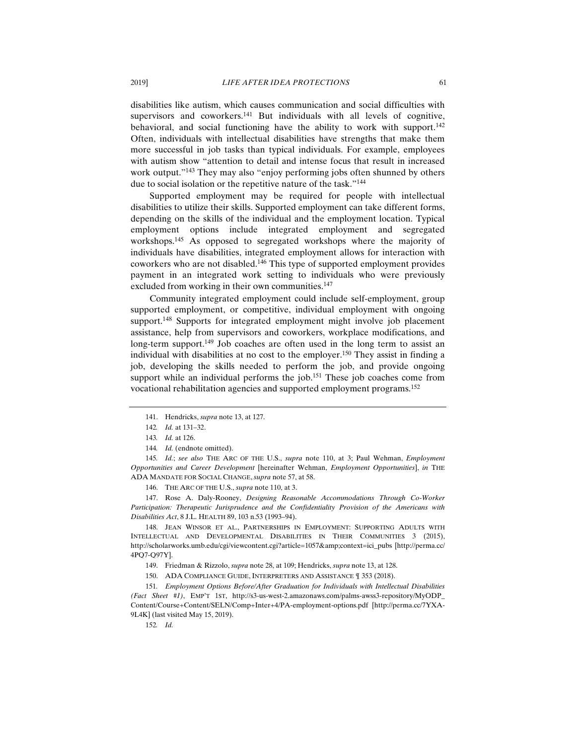disabilities like autism, which causes communication and social difficulties with supervisors and coworkers. $141$  But individuals with all levels of cognitive, behavioral, and social functioning have the ability to work with support.<sup>142</sup> Often, individuals with intellectual disabilities have strengths that make them more successful in job tasks than typical individuals. For example, employees with autism show "attention to detail and intense focus that result in increased work output."<sup>143</sup> They may also "enjoy performing jobs often shunned by others due to social isolation or the repetitive nature of the task."144

Supported employment may be required for people with intellectual disabilities to utilize their skills. Supported employment can take different forms, depending on the skills of the individual and the employment location. Typical employment options include integrated employment and segregated workshops.145 As opposed to segregated workshops where the majority of individuals have disabilities, integrated employment allows for interaction with coworkers who are not disabled.146 This type of supported employment provides payment in an integrated work setting to individuals who were previously excluded from working in their own communities.<sup>147</sup>

Community integrated employment could include self-employment, group supported employment, or competitive, individual employment with ongoing support.<sup>148</sup> Supports for integrated employment might involve job placement assistance, help from supervisors and coworkers, workplace modifications, and long-term support.<sup>149</sup> Job coaches are often used in the long term to assist an individual with disabilities at no cost to the employer.150 They assist in finding a job, developing the skills needed to perform the job, and provide ongoing support while an individual performs the job.<sup>151</sup> These job coaches come from vocational rehabilitation agencies and supported employment programs.152

146. THE ARC OF THE U.S., *supra* note 110, at 3.

 147. Rose A. Daly-Rooney, *Designing Reasonable Accommodations Through Co-Worker Participation: Therapeutic Jurisprudence and the Confidentiality Provision of the Americans with Disabilities Act*, 8 J.L. HEALTH 89, 103 n.53 (1993–94).

 148. JEAN WINSOR ET AL., PARTNERSHIPS IN EMPLOYMENT: SUPPORTING ADULTS WITH INTELLECTUAL AND DEVELOPMENTAL DISABILITIES IN THEIR COMMUNITIES 3 (2015), http://scholarworks.umb.edu/cgi/viewcontent.cgi?article=1057&context=ici\_pubs [http://perma.cc/ 4PQ7-Q97Y].

149. Friedman & Rizzolo, *supra* note 28, at 109; Hendricks, *supra* note 13, at 128.

151*. Employment Options Before/After Graduation for Individuals with Intellectual Disabilities (Fact Sheet #1)*, EMP'T 1ST, http://s3-us-west-2.amazonaws.com/palms-awss3-repository/MyODP\_ Content/Course+Content/SELN/Comp+Inter+4/PA-employment-options.pdf [http://perma.cc/7YXA-9L4K] (last visited May 15, 2019).

152*. Id.*

 <sup>141.</sup> Hendricks, *supra* note 13, at 127.

<sup>142</sup>*. Id.* at 131–32.

<sup>143</sup>*. Id.* at 126.

<sup>144.</sup> Id. (endnote omitted).

<sup>145</sup>*. Id.*; *see also* THE ARC OF THE U.S., *supra* note 110, at 3; Paul Wehman, *Employment Opportunities and Career Development* [hereinafter Wehman, *Employment Opportunities*], *in* THE ADA MANDATE FOR SOCIAL CHANGE, *supra* note 57, at 58.

 <sup>150.</sup> ADA COMPLIANCE GUIDE, INTERPRETERS AND ASSISTANCE ¶ 353 (2018).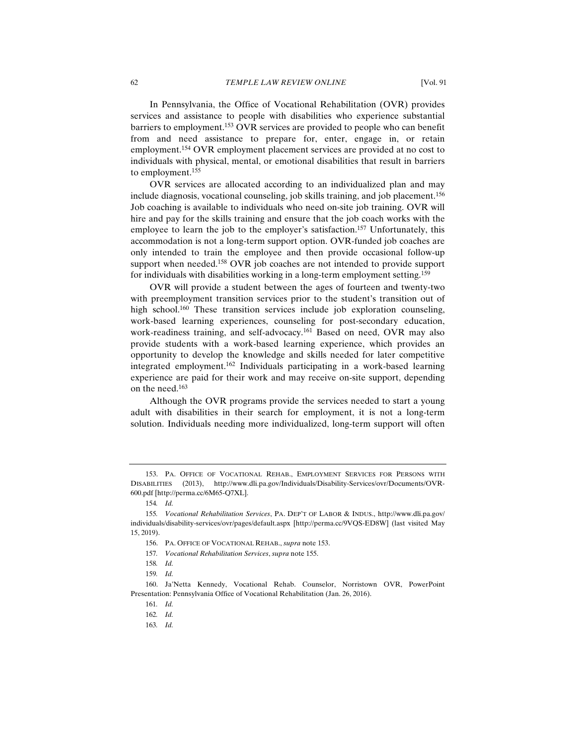In Pennsylvania, the Office of Vocational Rehabilitation (OVR) provides services and assistance to people with disabilities who experience substantial barriers to employment.153 OVR services are provided to people who can benefit from and need assistance to prepare for, enter, engage in, or retain employment.154 OVR employment placement services are provided at no cost to individuals with physical, mental, or emotional disabilities that result in barriers to employment.155

OVR services are allocated according to an individualized plan and may include diagnosis, vocational counseling, job skills training, and job placement.156 Job coaching is available to individuals who need on-site job training. OVR will hire and pay for the skills training and ensure that the job coach works with the employee to learn the job to the employer's satisfaction.<sup>157</sup> Unfortunately, this accommodation is not a long-term support option. OVR-funded job coaches are only intended to train the employee and then provide occasional follow-up support when needed.<sup>158</sup> OVR job coaches are not intended to provide support for individuals with disabilities working in a long-term employment setting.<sup>159</sup>

OVR will provide a student between the ages of fourteen and twenty-two with preemployment transition services prior to the student's transition out of high school.<sup>160</sup> These transition services include job exploration counseling, work-based learning experiences, counseling for post-secondary education, work-readiness training, and self-advocacy.<sup>161</sup> Based on need, OVR may also provide students with a work-based learning experience, which provides an opportunity to develop the knowledge and skills needed for later competitive integrated employment.162 Individuals participating in a work-based learning experience are paid for their work and may receive on-site support, depending on the need.163

Although the OVR programs provide the services needed to start a young adult with disabilities in their search for employment, it is not a long-term solution. Individuals needing more individualized, long-term support will often

 <sup>153.</sup> PA. OFFICE OF VOCATIONAL REHAB., EMPLOYMENT SERVICES FOR PERSONS WITH DISABILITIES (2013), http://www.dli.pa.gov/Individuals/Disability-Services/ovr/Documents/OVR-600.pdf [http://perma.cc/6M65-Q7XL].

<sup>154</sup>*. Id.*

<sup>155</sup>*. Vocational Rehabilitation Services*, PA. DEP'T OF LABOR & INDUS., http://www.dli.pa.gov/ individuals/disability-services/ovr/pages/default.aspx [http://perma.cc/9VQS-ED8W] (last visited May 15, 2019).

 <sup>156.</sup> PA. OFFICE OF VOCATIONAL REHAB., *supra* note 153.

<sup>157</sup>*. Vocational Rehabilitation Services*, *supra* note 155.

<sup>158</sup>*. Id.*

<sup>159</sup>*. Id.*

 <sup>160.</sup> Ja'Netta Kennedy, Vocational Rehab. Counselor, Norristown OVR, PowerPoint Presentation: Pennsylvania Office of Vocational Rehabilitation (Jan. 26, 2016).

<sup>161</sup>*. Id.*

<sup>162</sup>*. Id.*

<sup>163</sup>*. Id.*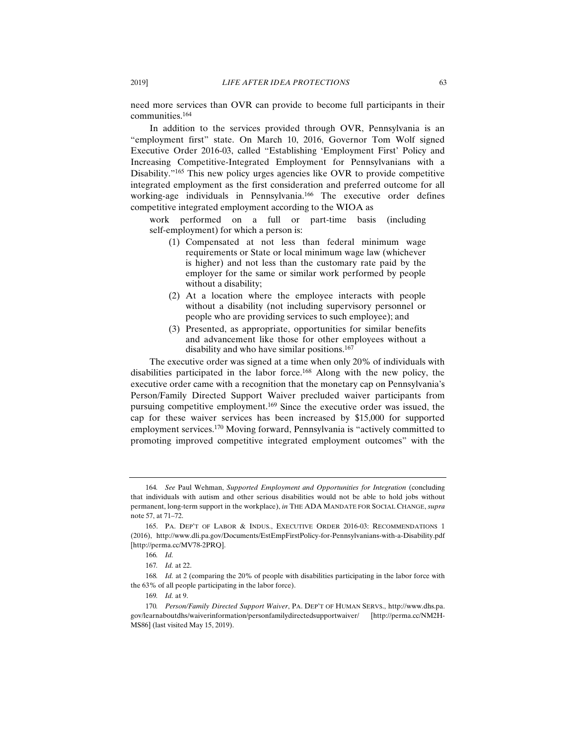need more services than OVR can provide to become full participants in their communities.164

In addition to the services provided through OVR, Pennsylvania is an "employment first" state. On March 10, 2016, Governor Tom Wolf signed Executive Order 2016-03, called "Establishing 'Employment First' Policy and Increasing Competitive-Integrated Employment for Pennsylvanians with a Disability."<sup>165</sup> This new policy urges agencies like OVR to provide competitive integrated employment as the first consideration and preferred outcome for all working-age individuals in Pennsylvania.166 The executive order defines competitive integrated employment according to the WIOA as

work performed on a full or part-time basis (including self-employment) for which a person is:

- (1) Compensated at not less than federal minimum wage requirements or State or local minimum wage law (whichever is higher) and not less than the customary rate paid by the employer for the same or similar work performed by people without a disability;
- (2) At a location where the employee interacts with people without a disability (not including supervisory personnel or people who are providing services to such employee); and
- (3) Presented, as appropriate, opportunities for similar benefits and advancement like those for other employees without a disability and who have similar positions.167

The executive order was signed at a time when only 20% of individuals with disabilities participated in the labor force.168 Along with the new policy, the executive order came with a recognition that the monetary cap on Pennsylvania's Person/Family Directed Support Waiver precluded waiver participants from pursuing competitive employment.169 Since the executive order was issued, the cap for these waiver services has been increased by \$15,000 for supported employment services.170 Moving forward, Pennsylvania is "actively committed to promoting improved competitive integrated employment outcomes" with the

<sup>164.</sup> See Paul Wehman, *Supported Employment and Opportunities for Integration* (concluding that individuals with autism and other serious disabilities would not be able to hold jobs without permanent, long-term support in the workplace), *in* THE ADA MANDATE FOR SOCIAL CHANGE, *supra* note 57, at 71–72.

 <sup>165.</sup> PA. DEP'T OF LABOR & INDUS., EXECUTIVE ORDER 2016-03: RECOMMENDATIONS 1 (2016), http://www.dli.pa.gov/Documents/EstEmpFirstPolicy-for-Pennsylvanians-with-a-Disability.pdf [http://perma.cc/MV78-2PRQ].

<sup>166</sup>*. Id.*

<sup>167</sup>*. Id.* at 22.

<sup>168</sup>*. Id.* at 2 (comparing the 20% of people with disabilities participating in the labor force with the 63% of all people participating in the labor force).

<sup>169</sup>*. Id.* at 9.

<sup>170</sup>*. Person/Family Directed Support Waiver*, PA. DEP'T OF HUMAN SERVS., http://www.dhs.pa. gov/learnaboutdhs/waiverinformation/personfamilydirectedsupportwaiver/ [http://perma.cc/NM2H-MS86] (last visited May 15, 2019).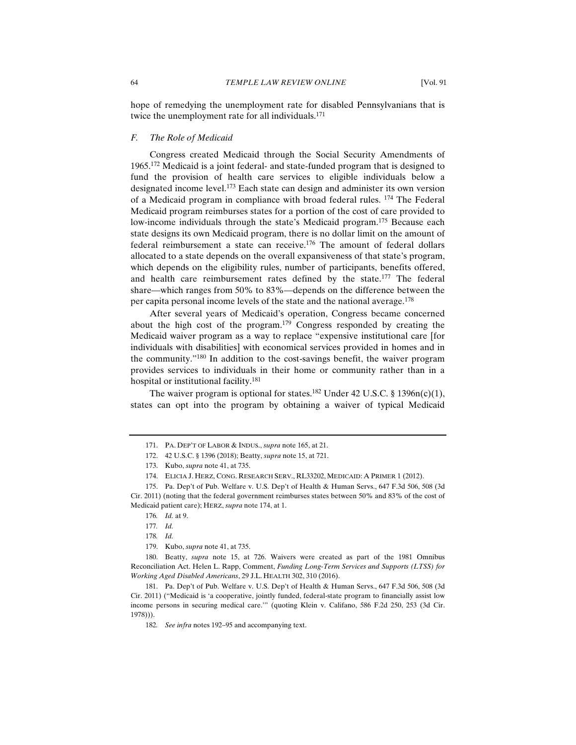hope of remedying the unemployment rate for disabled Pennsylvanians that is twice the unemployment rate for all individuals.<sup>171</sup>

# *F. The Role of Medicaid*

Congress created Medicaid through the Social Security Amendments of 1965.172 Medicaid is a joint federal- and state-funded program that is designed to fund the provision of health care services to eligible individuals below a designated income level.173 Each state can design and administer its own version of a Medicaid program in compliance with broad federal rules. 174 The Federal Medicaid program reimburses states for a portion of the cost of care provided to low-income individuals through the state's Medicaid program.<sup>175</sup> Because each state designs its own Medicaid program, there is no dollar limit on the amount of federal reimbursement a state can receive.176 The amount of federal dollars allocated to a state depends on the overall expansiveness of that state's program, which depends on the eligibility rules, number of participants, benefits offered, and health care reimbursement rates defined by the state.<sup>177</sup> The federal share—which ranges from 50% to 83%—depends on the difference between the per capita personal income levels of the state and the national average.178

After several years of Medicaid's operation, Congress became concerned about the high cost of the program.179 Congress responded by creating the Medicaid waiver program as a way to replace "expensive institutional care [for individuals with disabilities] with economical services provided in homes and in the community."180 In addition to the cost-savings benefit, the waiver program provides services to individuals in their home or community rather than in a hospital or institutional facility.181

The waiver program is optional for states.<sup>182</sup> Under 42 U.S.C. § 1396n(c)(1), states can opt into the program by obtaining a waiver of typical Medicaid

 <sup>171.</sup> PA. DEP'T OF LABOR & INDUS., *supra* note 165, at 21.

 <sup>172. 42</sup> U.S.C. § 1396 (2018); Beatty, *supra* note 15, at 721.

 <sup>173.</sup> Kubo, *supra* note 41, at 735.

 <sup>174.</sup> ELICIA J. HERZ, CONG. RESEARCH SERV., RL33202, MEDICAID: A PRIMER 1 (2012).

 <sup>175.</sup> Pa. Dep't of Pub. Welfare v. U.S. Dep't of Health & Human Servs., 647 F.3d 506, 508 (3d Cir. 2011) (noting that the federal government reimburses states between 50% and 83% of the cost of Medicaid patient care); HERZ, *supra* note 174, at 1.

<sup>176</sup>*. Id.* at 9.

<sup>177</sup>*. Id.*

<sup>178</sup>*. Id.*

 <sup>179.</sup> Kubo, *supra* note 41, at 735.

 <sup>180.</sup> Beatty, *supra* note 15, at 726. Waivers were created as part of the 1981 Omnibus Reconciliation Act. Helen L. Rapp, Comment, *Funding Long-Term Services and Supports (LTSS) for Working Aged Disabled Americans*, 29 J.L. HEALTH 302, 310 (2016).

 <sup>181.</sup> Pa. Dep't of Pub. Welfare v. U.S. Dep't of Health & Human Servs., 647 F.3d 506, 508 (3d Cir. 2011) ("Medicaid is 'a cooperative, jointly funded, federal-state program to financially assist low income persons in securing medical care.'" (quoting Klein v. Califano, 586 F.2d 250, 253 (3d Cir. 1978))).

<sup>182</sup>*. See infra* notes 192–95 and accompanying text.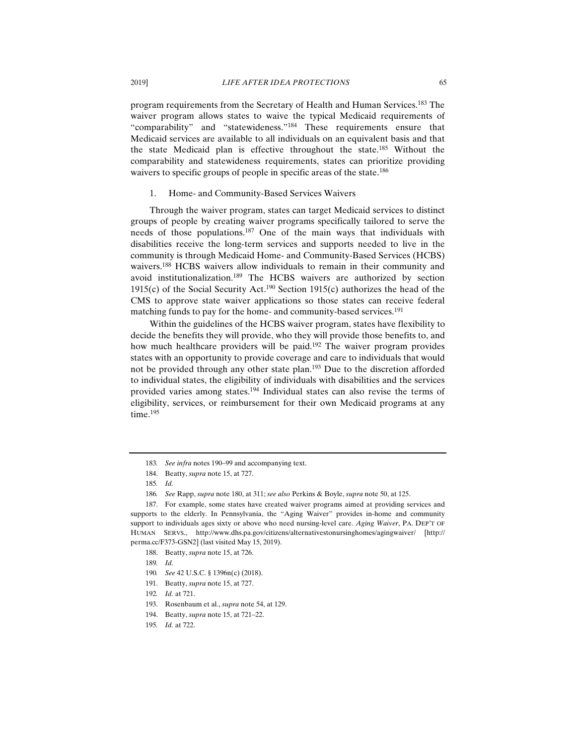program requirements from the Secretary of Health and Human Services.183 The waiver program allows states to waive the typical Medicaid requirements of "comparability" and "statewideness."184 These requirements ensure that Medicaid services are available to all individuals on an equivalent basis and that the state Medicaid plan is effective throughout the state.185 Without the comparability and statewideness requirements, states can prioritize providing waivers to specific groups of people in specific areas of the state.<sup>186</sup>

#### 1. Home- and Community-Based Services Waivers

Through the waiver program, states can target Medicaid services to distinct groups of people by creating waiver programs specifically tailored to serve the needs of those populations.187 One of the main ways that individuals with disabilities receive the long-term services and supports needed to live in the community is through Medicaid Home- and Community-Based Services (HCBS) waivers.188 HCBS waivers allow individuals to remain in their community and avoid institutionalization.189 The HCBS waivers are authorized by section 1915(c) of the Social Security Act.<sup>190</sup> Section 1915(c) authorizes the head of the CMS to approve state waiver applications so those states can receive federal matching funds to pay for the home- and community-based services.<sup>191</sup>

Within the guidelines of the HCBS waiver program, states have flexibility to decide the benefits they will provide, who they will provide those benefits to, and how much healthcare providers will be paid.<sup>192</sup> The waiver program provides states with an opportunity to provide coverage and care to individuals that would not be provided through any other state plan.<sup>193</sup> Due to the discretion afforded to individual states, the eligibility of individuals with disabilities and the services provided varies among states.194 Individual states can also revise the terms of eligibility, services, or reimbursement for their own Medicaid programs at any time.<sup>195</sup>

<sup>183</sup>*. See infra* notes 190–99 and accompanying text.

 <sup>184.</sup> Beatty, *supra* note 15, at 727.

<sup>185</sup>*. Id.*

<sup>186</sup>*. See* Rapp, *supra* note 180, at 311; *see also* Perkins & Boyle, *supra* note 50, at 125.

 <sup>187.</sup> For example, some states have created waiver programs aimed at providing services and supports to the elderly. In Pennsylvania, the "Aging Waiver" provides in-home and community support to individuals ages sixty or above who need nursing-level care. *Aging Waiver*, PA. DEP'T OF HUMAN SERVS., http://www.dhs.pa.gov/citizens/alternativestonursinghomes/agingwaiver/ [http:// perma.cc/F373-GSN2] (last visited May 15, 2019).

 <sup>188.</sup> Beatty, *supra* note 15, at 726.

<sup>189</sup>*. Id.*

<sup>190</sup>*. See* 42 U.S.C. § 1396n(c) (2018).

 <sup>191.</sup> Beatty, *supra* note 15, at 727.

<sup>192</sup>*. Id.* at 721.

 <sup>193.</sup> Rosenbaum et al., *supra* note 54, at 129.

 <sup>194.</sup> Beatty, *supra* note 15, at 721–22.

<sup>195</sup>*. Id.* at 722.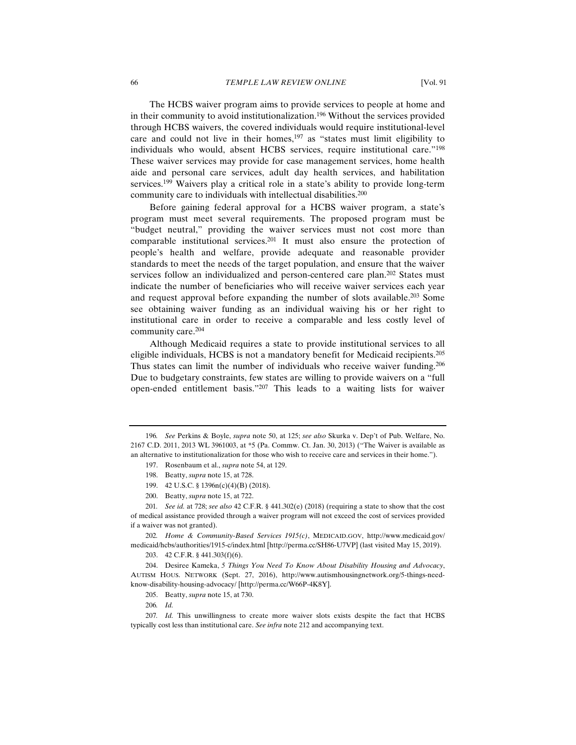The HCBS waiver program aims to provide services to people at home and in their community to avoid institutionalization.196 Without the services provided through HCBS waivers, the covered individuals would require institutional-level care and could not live in their homes, $197$  as "states must limit eligibility to individuals who would, absent HCBS services, require institutional care."198 These waiver services may provide for case management services, home health aide and personal care services, adult day health services, and habilitation services.199 Waivers play a critical role in a state's ability to provide long-term community care to individuals with intellectual disabilities.<sup>200</sup>

Before gaining federal approval for a HCBS waiver program, a state's program must meet several requirements. The proposed program must be "budget neutral," providing the waiver services must not cost more than comparable institutional services.201 It must also ensure the protection of people's health and welfare, provide adequate and reasonable provider standards to meet the needs of the target population, and ensure that the waiver services follow an individualized and person-centered care plan.<sup>202</sup> States must indicate the number of beneficiaries who will receive waiver services each year and request approval before expanding the number of slots available.203 Some see obtaining waiver funding as an individual waiving his or her right to institutional care in order to receive a comparable and less costly level of community care.204

Although Medicaid requires a state to provide institutional services to all eligible individuals, HCBS is not a mandatory benefit for Medicaid recipients.205 Thus states can limit the number of individuals who receive waiver funding.<sup>206</sup> Due to budgetary constraints, few states are willing to provide waivers on a "full open-ended entitlement basis."207 This leads to a waiting lists for waiver

- 199. 42 U.S.C. § 1396n(c)(4)(B) (2018).
- 200. Beatty, *supra* note 15, at 722.

201*. See id.* at 728; *see also* 42 C.F.R. § 441.302(e) (2018) (requiring a state to show that the cost of medical assistance provided through a waiver program will not exceed the cost of services provided if a waiver was not granted).

202*. Home & Community-Based Services 1915(c)*, MEDICAID.GOV, http://www.medicaid.gov/ medicaid/hcbs/authorities/1915-c/index.html [http://perma.cc/SH86-U7VP] (last visited May 15, 2019).

<sup>196</sup>*. See* Perkins & Boyle, *supra* note 50, at 125; *see also* Skurka v. Dep't of Pub. Welfare, No. 2167 C.D. 2011, 2013 WL 3961003, at \*5 (Pa. Commw. Ct. Jan. 30, 2013) ("The Waiver is available as an alternative to institutionalization for those who wish to receive care and services in their home.").

 <sup>197.</sup> Rosenbaum et al., *supra* note 54, at 129.

 <sup>198.</sup> Beatty, *supra* note 15, at 728.

 <sup>203. 42</sup> C.F.R. § 441.303(f)(6).

 <sup>204.</sup> Desiree Kameka, *5 Things You Need To Know About Disability Housing and Advocacy*, AUTISM HOUS. NETWORK (Sept. 27, 2016), http://www.autismhousingnetwork.org/5-things-needknow-disability-housing-advocacy/ [http://perma.cc/W66P-4K8Y].

 <sup>205.</sup> Beatty, *supra* note 15, at 730.

<sup>206</sup>*. Id.*

<sup>207</sup>*. Id.* This unwillingness to create more waiver slots exists despite the fact that HCBS typically cost less than institutional care. *See infra* note 212 and accompanying text.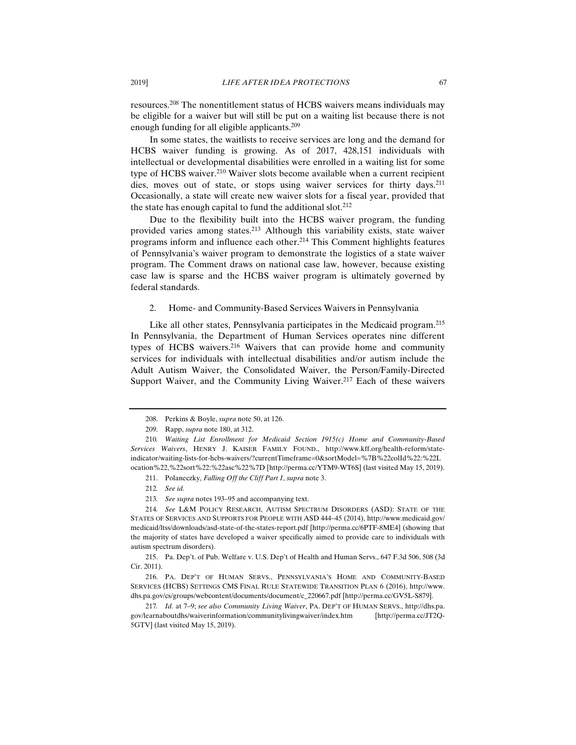resources.208 The nonentitlement status of HCBS waivers means individuals may be eligible for a waiver but will still be put on a waiting list because there is not enough funding for all eligible applicants.209

In some states, the waitlists to receive services are long and the demand for HCBS waiver funding is growing. As of 2017, 428,151 individuals with intellectual or developmental disabilities were enrolled in a waiting list for some type of HCBS waiver.210 Waiver slots become available when a current recipient dies, moves out of state, or stops using waiver services for thirty days.<sup>211</sup> Occasionally, a state will create new waiver slots for a fiscal year, provided that the state has enough capital to fund the additional slot.<sup>212</sup>

Due to the flexibility built into the HCBS waiver program, the funding provided varies among states.213 Although this variability exists, state waiver programs inform and influence each other.214 This Comment highlights features of Pennsylvania's waiver program to demonstrate the logistics of a state waiver program. The Comment draws on national case law, however, because existing case law is sparse and the HCBS waiver program is ultimately governed by federal standards.

2. Home- and Community-Based Services Waivers in Pennsylvania

Like all other states, Pennsylvania participates in the Medicaid program.<sup>215</sup> In Pennsylvania, the Department of Human Services operates nine different types of HCBS waivers.216 Waivers that can provide home and community services for individuals with intellectual disabilities and/or autism include the Adult Autism Waiver, the Consolidated Waiver, the Person/Family-Directed Support Waiver, and the Community Living Waiver.<sup>217</sup> Each of these waivers

 <sup>208.</sup> Perkins & Boyle, *supra* note 50, at 126.

 <sup>209.</sup> Rapp, *supra* note 180, at 312.

<sup>210</sup>*. Waiting List Enrollment for Medicaid Section 1915(c) Home and Community-Based Services Waivers*, HENRY J. KAISER FAMILY FOUND., http://www.kff.org/health-reform/stateindicator/waiting-lists-for-hcbs-waivers/?currentTimeframe=0&sortModel=%7B%22colId%22:%22L ocation%22,%22sort%22:%22asc%22%7D [http://perma.cc/YTM9-WT6S] (last visited May 15, 2019).

 <sup>211.</sup> Polaneczky, *Falling Off the Cliff Part 1*, *supra* note 3.

<sup>212</sup>*. See id.*

<sup>213</sup>*. See supra* notes 193–95 and accompanying text.

<sup>214</sup>*. See* L&M POLICY RESEARCH, AUTISM SPECTRUM DISORDERS (ASD): STATE OF THE STATES OF SERVICES AND SUPPORTS FOR PEOPLE WITH ASD 444–45 (2014), http://www.medicaid.gov/ medicaid/ltss/downloads/asd-state-of-the-states-report.pdf [http://perma.cc/6PTF-8ME4] (showing that the majority of states have developed a waiver specifically aimed to provide care to individuals with autism spectrum disorders).

 <sup>215.</sup> Pa. Dep't. of Pub. Welfare v. U.S. Dep't of Health and Human Servs., 647 F.3d 506, 508 (3d Cir. 2011).

 <sup>216.</sup> PA. DEP'T OF HUMAN SERVS., PENNSYLVANIA'S HOME AND COMMUNITY-BASED SERVICES (HCBS) SETTINGS CMS FINAL RULE STATEWIDE TRANSITION PLAN 6 (2016), http://www. dhs.pa.gov/cs/groups/webcontent/documents/document/c\_220667.pdf [http://perma.cc/GV5L-S879].

<sup>217</sup>*. Id.* at 7–9; *see also Community Living Waiver*, PA. DEP'T OF HUMAN SERVS., http://dhs.pa. gov/learnaboutdhs/waiverinformation/communitylivingwaiver/index.htm [http://perma.cc/JT2Q-5GTV] (last visited May 15, 2019).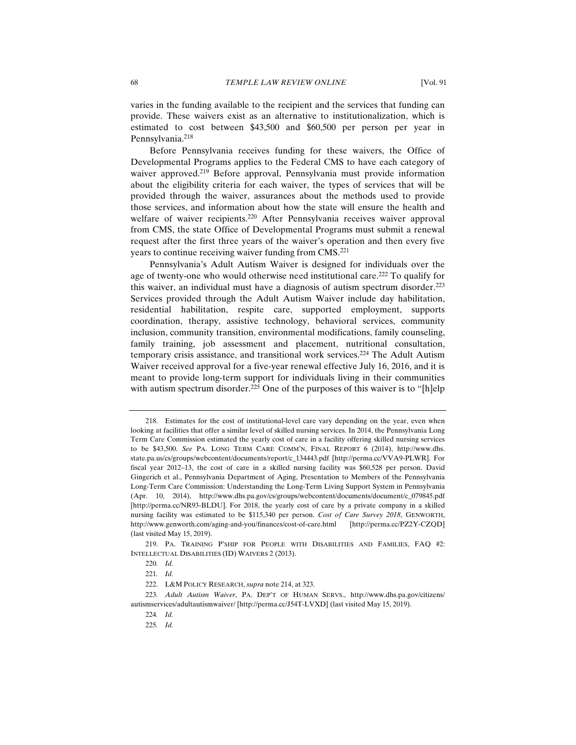varies in the funding available to the recipient and the services that funding can provide. These waivers exist as an alternative to institutionalization, which is estimated to cost between \$43,500 and \$60,500 per person per year in Pennsylvania.<sup>218</sup>

Before Pennsylvania receives funding for these waivers, the Office of Developmental Programs applies to the Federal CMS to have each category of waiver approved.<sup>219</sup> Before approval, Pennsylvania must provide information about the eligibility criteria for each waiver, the types of services that will be provided through the waiver, assurances about the methods used to provide those services, and information about how the state will ensure the health and welfare of waiver recipients.<sup>220</sup> After Pennsylvania receives waiver approval from CMS, the state Office of Developmental Programs must submit a renewal request after the first three years of the waiver's operation and then every five years to continue receiving waiver funding from CMS.<sup>221</sup>

Pennsylvania's Adult Autism Waiver is designed for individuals over the age of twenty-one who would otherwise need institutional care.<sup>222</sup> To qualify for this waiver, an individual must have a diagnosis of autism spectrum disorder.<sup>223</sup> Services provided through the Adult Autism Waiver include day habilitation, residential habilitation, respite care, supported employment, supports coordination, therapy, assistive technology, behavioral services, community inclusion, community transition, environmental modifications, family counseling, family training, job assessment and placement, nutritional consultation, temporary crisis assistance, and transitional work services.224 The Adult Autism Waiver received approval for a five-year renewal effective July 16, 2016, and it is meant to provide long-term support for individuals living in their communities with autism spectrum disorder.<sup>225</sup> One of the purposes of this waiver is to "[h]elp

 <sup>218.</sup> Estimates for the cost of institutional-level care vary depending on the year, even when looking at facilities that offer a similar level of skilled nursing services. In 2014, the Pennsylvania Long Term Care Commission estimated the yearly cost of care in a facility offering skilled nursing services to be \$43,500. *See* PA. LONG TERM CARE COMM'N, FINAL REPORT 6 (2014), http://www.dhs. state.pa.us/cs/groups/webcontent/documents/report/c\_134443.pdf [http://perma.cc/VVA9-PLWR]. For fiscal year 2012–13, the cost of care in a skilled nursing facility was \$60,528 per person. David Gingerich et al., Pennsylvania Department of Aging, Presentation to Members of the Pennsylvania Long-Term Care Commission: Understanding the Long-Term Living Support System in Pennsylvania (Apr. 10, 2014), http://www.dhs.pa.gov/cs/groups/webcontent/documents/document/c\_079845.pdf [http://perma.cc/NR93-BLDU]. For 2018, the yearly cost of care by a private company in a skilled nursing facility was estimated to be \$115,340 per person. *Cost of Care Survey 2018*, GENWORTH, http://www.genworth.com/aging-and-you/finances/cost-of-care.html [http://perma.cc/PZ2Y-CZQD] (last visited May 15, 2019).

 <sup>219.</sup> PA. TRAINING P'SHIP FOR PEOPLE WITH DISABILITIES AND FAMILIES, FAQ #2: INTELLECTUAL DISABILITIES (ID) WAIVERS 2 (2013).

<sup>220</sup>*. Id.*

<sup>221</sup>*. Id.*

 <sup>222.</sup> L&M POLICY RESEARCH, *supra* note 214, at 323.

<sup>223</sup>*. Adult Autism Waiver*, PA. DEP'T OF HUMAN SERVS., http://www.dhs.pa.gov/citizens/ autismservices/adultautismwaiver/ [http://perma.cc/J54T-LVXD] (last visited May 15, 2019).

<sup>224</sup>*. Id.*

<sup>225</sup>*. Id.*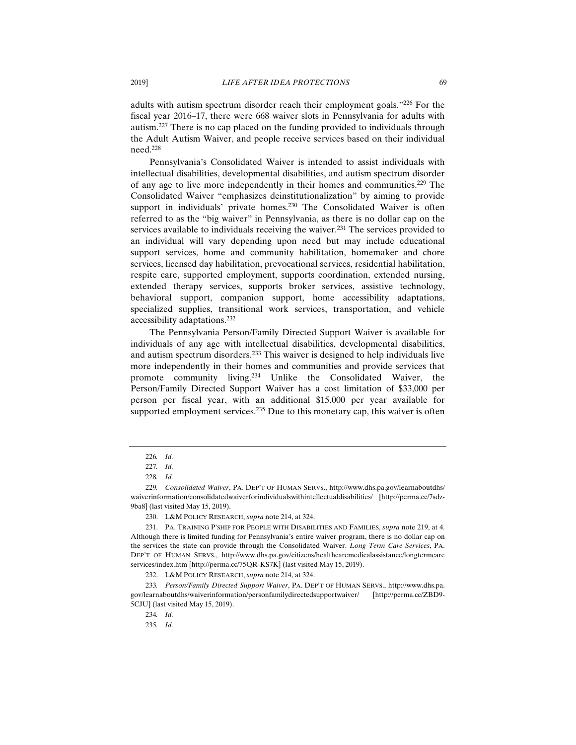adults with autism spectrum disorder reach their employment goals."226 For the fiscal year 2016–17, there were 668 waiver slots in Pennsylvania for adults with autism.227 There is no cap placed on the funding provided to individuals through the Adult Autism Waiver, and people receive services based on their individual need.228

Pennsylvania's Consolidated Waiver is intended to assist individuals with intellectual disabilities, developmental disabilities, and autism spectrum disorder of any age to live more independently in their homes and communities.229 The Consolidated Waiver "emphasizes deinstitutionalization" by aiming to provide support in individuals' private homes.<sup>230</sup> The Consolidated Waiver is often referred to as the "big waiver" in Pennsylvania, as there is no dollar cap on the services available to individuals receiving the waiver.<sup>231</sup> The services provided to an individual will vary depending upon need but may include educational support services, home and community habilitation, homemaker and chore services, licensed day habilitation, prevocational services, residential habilitation, respite care, supported employment, supports coordination, extended nursing, extended therapy services, supports broker services, assistive technology, behavioral support, companion support, home accessibility adaptations, specialized supplies, transitional work services, transportation, and vehicle accessibility adaptations.232

The Pennsylvania Person/Family Directed Support Waiver is available for individuals of any age with intellectual disabilities, developmental disabilities, and autism spectrum disorders.233 This waiver is designed to help individuals live more independently in their homes and communities and provide services that promote community living.234 Unlike the Consolidated Waiver, the Person/Family Directed Support Waiver has a cost limitation of \$33,000 per person per fiscal year, with an additional \$15,000 per year available for supported employment services.<sup>235</sup> Due to this monetary cap, this waiver is often

232. L&M POLICY RESEARCH, *supra* note 214, at 324.

233*. Person/Family Directed Support Waiver*, PA. DEP'T OF HUMAN SERVS., http://www.dhs.pa. gov/learnaboutdhs/waiverinformation/personfamilydirectedsupportwaiver/ [http://perma.cc/ZBD9- 5CJU] (last visited May 15, 2019).

234*. Id.*

235*. Id.*

<sup>226</sup>*. Id.*

<sup>227</sup>*. Id.*

<sup>228</sup>*. Id.*

<sup>229</sup>*. Consolidated Waiver*, PA. DEP'T OF HUMAN SERVS., http://www.dhs.pa.gov/learnaboutdhs/ waiverinformation/consolidatedwaiverforindividualswithintellectualdisabilities/ [http://perma.cc/7sdz-9ba8] (last visited May 15, 2019).

 <sup>230.</sup> L&M POLICY RESEARCH, *supra* note 214, at 324.

 <sup>231.</sup> PA. TRAINING P'SHIP FOR PEOPLE WITH DISABILITIES AND FAMILIES, *supra* note 219, at 4. Although there is limited funding for Pennsylvania's entire waiver program, there is no dollar cap on the services the state can provide through the Consolidated Waiver. *Long Term Care Services*, PA. DEP'T OF HUMAN SERVS., http://www.dhs.pa.gov/citizens/healthcaremedicalassistance/longtermcare services/index.htm [http://perma.cc/75QR-KS7K] (last visited May 15, 2019).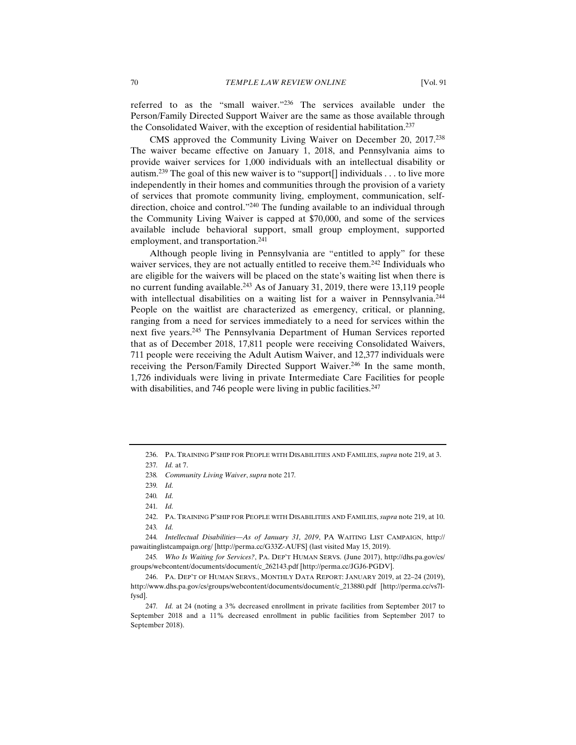referred to as the "small waiver."236 The services available under the Person/Family Directed Support Waiver are the same as those available through the Consolidated Waiver, with the exception of residential habilitation.<sup>237</sup>

CMS approved the Community Living Waiver on December 20, 2017.238 The waiver became effective on January 1, 2018, and Pennsylvania aims to provide waiver services for 1,000 individuals with an intellectual disability or autism.<sup>239</sup> The goal of this new waiver is to "support[] individuals . . . to live more independently in their homes and communities through the provision of a variety of services that promote community living, employment, communication, selfdirection, choice and control."<sup>240</sup> The funding available to an individual through the Community Living Waiver is capped at \$70,000, and some of the services available include behavioral support, small group employment, supported employment, and transportation.<sup>241</sup>

Although people living in Pennsylvania are "entitled to apply" for these waiver services, they are not actually entitled to receive them.<sup>242</sup> Individuals who are eligible for the waivers will be placed on the state's waiting list when there is no current funding available.<sup>243</sup> As of January 31, 2019, there were 13,119 people with intellectual disabilities on a waiting list for a waiver in Pennsylvania.<sup>244</sup> People on the waitlist are characterized as emergency, critical, or planning, ranging from a need for services immediately to a need for services within the next five years.245 The Pennsylvania Department of Human Services reported that as of December 2018, 17,811 people were receiving Consolidated Waivers, 711 people were receiving the Adult Autism Waiver, and 12,377 individuals were receiving the Person/Family Directed Support Waiver.<sup>246</sup> In the same month, 1,726 individuals were living in private Intermediate Care Facilities for people with disabilities, and 746 people were living in public facilities. $247$ 

 <sup>236.</sup> PA. TRAINING P'SHIP FOR PEOPLE WITH DISABILITIES AND FAMILIES, *supra* note 219, at 3.

<sup>237</sup>*. Id.* at 7.

<sup>238</sup>*. Community Living Waiver*, *supra* note 217*.*

<sup>239</sup>*. Id.*

<sup>240</sup>*. Id.*

<sup>241</sup>*. Id.*

 <sup>242.</sup> PA. TRAINING P'SHIP FOR PEOPLE WITH DISABILITIES AND FAMILIES, *supra* note 219, at 10. 243*. Id.*

<sup>244</sup>*. Intellectual Disabilities—As of January 31, 2019*, PA WAITING LIST CAMPAIGN, http:// pawaitinglistcampaign.org/ [http://perma.cc/G33Z-AUFS] (last visited May 15, 2019).

<sup>245</sup>*. Who Is Waiting for Services?*, PA. DEP'T HUMAN SERVS. (June 2017), http://dhs.pa.gov/cs/ groups/webcontent/documents/document/c\_262143.pdf [http://perma.cc/JGJ6-PGDV].

 <sup>246.</sup> PA. DEP'T OF HUMAN SERVS., MONTHLY DATA REPORT: JANUARY 2019, at 22–24 (2019), http://www.dhs.pa.gov/cs/groups/webcontent/documents/document/c\_213880.pdf [http://perma.cc/vs7lfysd].

<sup>247</sup>*. Id.* at 24 (noting a 3% decreased enrollment in private facilities from September 2017 to September 2018 and a 11% decreased enrollment in public facilities from September 2017 to September 2018).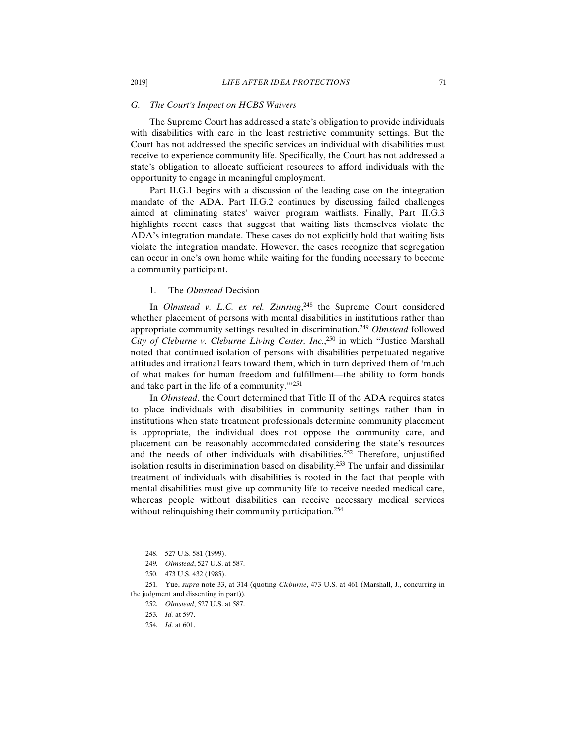#### *G. The Court's Impact on HCBS Waivers*

The Supreme Court has addressed a state's obligation to provide individuals with disabilities with care in the least restrictive community settings. But the Court has not addressed the specific services an individual with disabilities must receive to experience community life. Specifically, the Court has not addressed a state's obligation to allocate sufficient resources to afford individuals with the opportunity to engage in meaningful employment.

Part II.G.1 begins with a discussion of the leading case on the integration mandate of the ADA. Part II.G.2 continues by discussing failed challenges aimed at eliminating states' waiver program waitlists. Finally, Part II.G.3 highlights recent cases that suggest that waiting lists themselves violate the ADA's integration mandate. These cases do not explicitly hold that waiting lists violate the integration mandate. However, the cases recognize that segregation can occur in one's own home while waiting for the funding necessary to become a community participant.

### 1. The *Olmstead* Decision

In *Olmstead v. L.C. ex rel. Zimring*, 248 the Supreme Court considered whether placement of persons with mental disabilities in institutions rather than appropriate community settings resulted in discrimination.249 *Olmstead* followed *City of Cleburne v. Cleburne Living Center, Inc.*, 250 in which "Justice Marshall noted that continued isolation of persons with disabilities perpetuated negative attitudes and irrational fears toward them, which in turn deprived them of 'much of what makes for human freedom and fulfillment––the ability to form bonds and take part in the life of a community.'"251

In *Olmstead*, the Court determined that Title II of the ADA requires states to place individuals with disabilities in community settings rather than in institutions when state treatment professionals determine community placement is appropriate, the individual does not oppose the community care, and placement can be reasonably accommodated considering the state's resources and the needs of other individuals with disabilities.<sup>252</sup> Therefore, unjustified isolation results in discrimination based on disability.253 The unfair and dissimilar treatment of individuals with disabilities is rooted in the fact that people with mental disabilities must give up community life to receive needed medical care, whereas people without disabilities can receive necessary medical services without relinquishing their community participation.<sup>254</sup>

 <sup>248. 527</sup> U.S. 581 (1999).

<sup>249</sup>*. Olmstead*, 527 U.S. at 587.

 <sup>250. 473</sup> U.S. 432 (1985).

 <sup>251.</sup> Yue, *supra* note 33, at 314 (quoting *Cleburne*, 473 U.S. at 461 (Marshall, J., concurring in the judgment and dissenting in part)).

<sup>252</sup>*. Olmstead*, 527 U.S. at 587.

<sup>253</sup>*. Id.* at 597.

<sup>254</sup>*. Id.* at 601.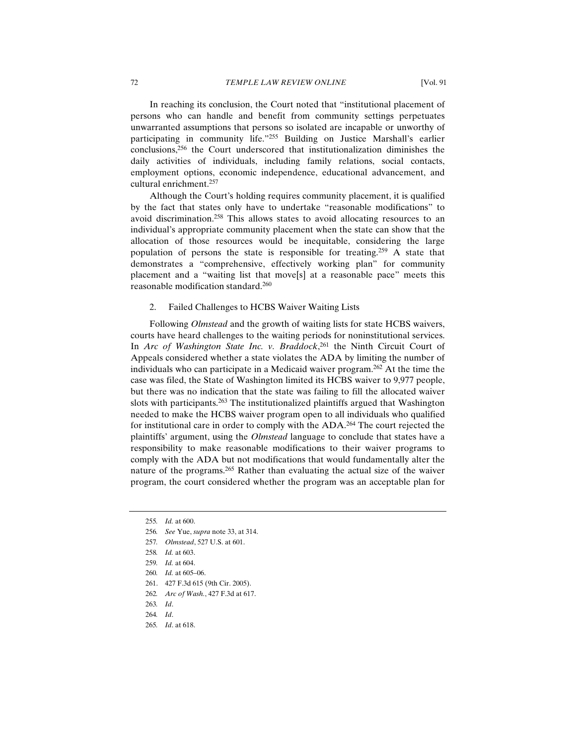In reaching its conclusion, the Court noted that "institutional placement of persons who can handle and benefit from community settings perpetuates unwarranted assumptions that persons so isolated are incapable or unworthy of participating in community life."255 Building on Justice Marshall's earlier conclusions,256 the Court underscored that institutionalization diminishes the daily activities of individuals, including family relations, social contacts, employment options, economic independence, educational advancement, and cultural enrichment.257

Although the Court's holding requires community placement, it is qualified by the fact that states only have to undertake "reasonable modifications" to avoid discrimination.258 This allows states to avoid allocating resources to an individual's appropriate community placement when the state can show that the allocation of those resources would be inequitable, considering the large population of persons the state is responsible for treating.<sup>259</sup> A state that demonstrates a "comprehensive, effectively working plan" for community placement and a "waiting list that move[s] at a reasonable pace" meets this reasonable modification standard.260

#### 2. Failed Challenges to HCBS Waiver Waiting Lists

Following *Olmstead* and the growth of waiting lists for state HCBS waivers, courts have heard challenges to the waiting periods for noninstitutional services. In *Arc of Washington State Inc. v. Braddock*, 261 the Ninth Circuit Court of Appeals considered whether a state violates the ADA by limiting the number of individuals who can participate in a Medicaid waiver program.262 At the time the case was filed, the State of Washington limited its HCBS waiver to 9,977 people, but there was no indication that the state was failing to fill the allocated waiver slots with participants.<sup>263</sup> The institutionalized plaintiffs argued that Washington needed to make the HCBS waiver program open to all individuals who qualified for institutional care in order to comply with the ADA.<sup>264</sup> The court rejected the plaintiffs' argument, using the *Olmstead* language to conclude that states have a responsibility to make reasonable modifications to their waiver programs to comply with the ADA but not modifications that would fundamentally alter the nature of the programs.<sup>265</sup> Rather than evaluating the actual size of the waiver program, the court considered whether the program was an acceptable plan for

257*. Olmstead*, 527 U.S. at 601.

- 263*. Id*.
- 264*. Id*.
- 265*. Id*. at 618.

<sup>255</sup>*. Id.* at 600.

<sup>256</sup>*. See* Yue, *supra* note 33, at 314.

<sup>258</sup>*. Id.* at 603.

<sup>259</sup>*. Id.* at 604.

<sup>260</sup>*. Id.* at 605–06.

 <sup>261. 427</sup> F.3d 615 (9th Cir. 2005).

<sup>262</sup>*. Arc of Wash.*, 427 F.3d at 617.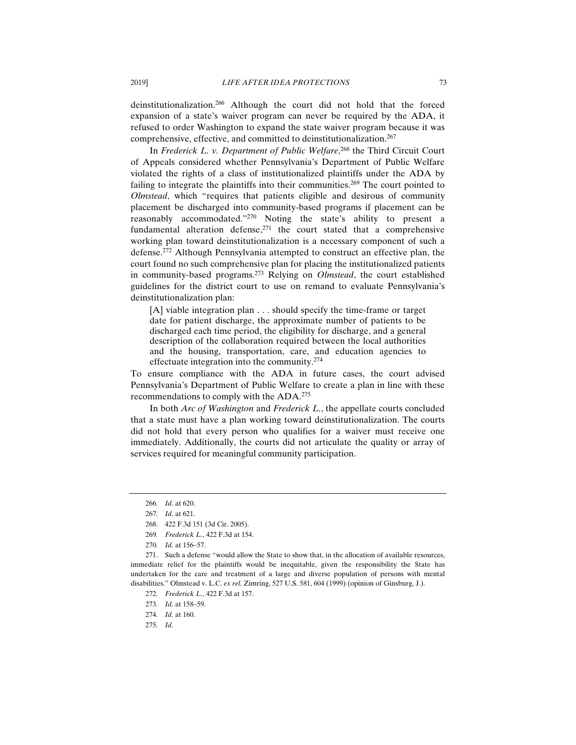deinstitutionalization.266 Although the court did not hold that the forced expansion of a state's waiver program can never be required by the ADA, it refused to order Washington to expand the state waiver program because it was comprehensive, effective, and committed to deinstitutionalization.<sup>267</sup>

In *Frederick L. v. Department of Public Welfare*, 268 the Third Circuit Court of Appeals considered whether Pennsylvania's Department of Public Welfare violated the rights of a class of institutionalized plaintiffs under the ADA by failing to integrate the plaintiffs into their communities.<sup>269</sup> The court pointed to *Olmstead*, which "requires that patients eligible and desirous of community placement be discharged into community-based programs if placement can be reasonably accommodated."270 Noting the state's ability to present a fundamental alteration defense, $271$  the court stated that a comprehensive working plan toward deinstitutionalization is a necessary component of such a defense.272 Although Pennsylvania attempted to construct an effective plan, the court found no such comprehensive plan for placing the institutionalized patients in community-based programs.273 Relying on *Olmstead*, the court established guidelines for the district court to use on remand to evaluate Pennsylvania's deinstitutionalization plan:

[A] viable integration plan . . . should specify the time-frame or target date for patient discharge, the approximate number of patients to be discharged each time period, the eligibility for discharge, and a general description of the collaboration required between the local authorities and the housing, transportation, care, and education agencies to effectuate integration into the community.274

To ensure compliance with the ADA in future cases, the court advised Pennsylvania's Department of Public Welfare to create a plan in line with these recommendations to comply with the ADA.275

In both *Arc of Washington* and *Frederick L.*, the appellate courts concluded that a state must have a plan working toward deinstitutionalization. The courts did not hold that every person who qualifies for a waiver must receive one immediately. Additionally, the courts did not articulate the quality or array of services required for meaningful community participation.

<sup>266</sup>*. Id*. at 620.

<sup>267</sup>*. Id*. at 621.

 <sup>268. 422</sup> F.3d 151 (3d Cir. 2005).

<sup>269</sup>*. Frederick L.*, 422 F.3d at 154.

<sup>270</sup>*. Id.* at 156–57.

 <sup>271.</sup> Such a defense "would allow the State to show that, in the allocation of available resources, immediate relief for the plaintiffs would be inequitable, given the responsibility the State has undertaken for the care and treatment of a large and diverse population of persons with mental disabilities." Olmstead v. L.C. *ex rel.* Zimring, 527 U.S. 581, 604 (1999) (opinion of Ginsburg, J.).

<sup>272</sup>*. Frederick L.*, 422 F.3d at 157.

<sup>273</sup>*. Id.* at 158–59.

<sup>274</sup>*. Id.* at 160.

<sup>275</sup>*. Id.*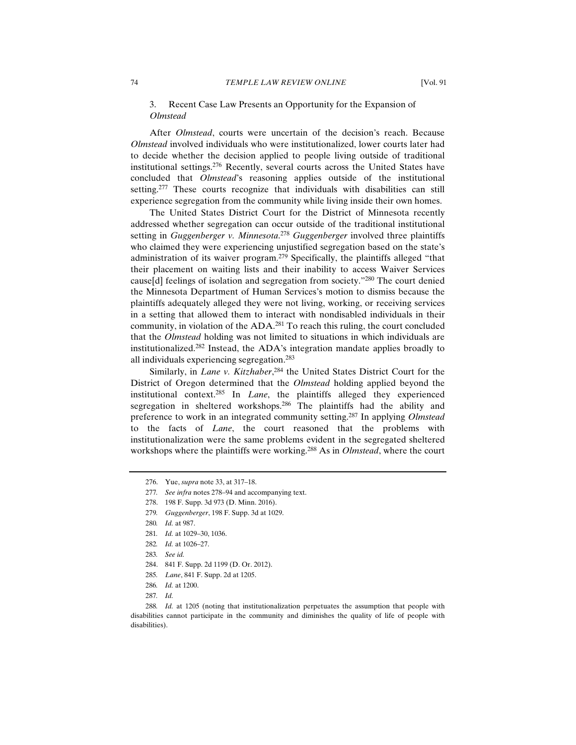# 3. Recent Case Law Presents an Opportunity for the Expansion of *Olmstead*

After *Olmstead*, courts were uncertain of the decision's reach. Because *Olmstead* involved individuals who were institutionalized, lower courts later had to decide whether the decision applied to people living outside of traditional institutional settings.276 Recently, several courts across the United States have concluded that *Olmstead*'s reasoning applies outside of the institutional setting.<sup>277</sup> These courts recognize that individuals with disabilities can still experience segregation from the community while living inside their own homes.

The United States District Court for the District of Minnesota recently addressed whether segregation can occur outside of the traditional institutional setting in *Guggenberger v. Minnesota*. <sup>278</sup> *Guggenberger* involved three plaintiffs who claimed they were experiencing unjustified segregation based on the state's administration of its waiver program.279 Specifically, the plaintiffs alleged "that their placement on waiting lists and their inability to access Waiver Services cause[d] feelings of isolation and segregation from society."280 The court denied the Minnesota Department of Human Services's motion to dismiss because the plaintiffs adequately alleged they were not living, working, or receiving services in a setting that allowed them to interact with nondisabled individuals in their community, in violation of the ADA.<sup>281</sup> To reach this ruling, the court concluded that the *Olmstead* holding was not limited to situations in which individuals are institutionalized.282 Instead, the ADA's integration mandate applies broadly to all individuals experiencing segregation.283

Similarly, in *Lane v. Kitzhaber*, 284 the United States District Court for the District of Oregon determined that the *Olmstead* holding applied beyond the institutional context.285 In *Lane*, the plaintiffs alleged they experienced segregation in sheltered workshops.<sup>286</sup> The plaintiffs had the ability and preference to work in an integrated community setting.287 In applying *Olmstead* to the facts of *Lane*, the court reasoned that the problems with institutionalization were the same problems evident in the segregated sheltered workshops where the plaintiffs were working.288 As in *Olmstead*, where the court

279*. Guggenberger*, 198 F. Supp. 3d at 1029.

- 284. 841 F. Supp. 2d 1199 (D. Or. 2012).
- 285*. Lane*, 841 F. Supp. 2d at 1205.
- 286*. Id.* at 1200.
- 287*. Id.*

 <sup>276.</sup> Yue, *supra* note 33, at 317–18.

<sup>277</sup>*. See infra* notes 278–94 and accompanying text.

 <sup>278. 198</sup> F. Supp. 3d 973 (D. Minn. 2016).

<sup>280</sup>*. Id.* at 987.

<sup>281</sup>*. Id.* at 1029–30, 1036.

<sup>282</sup>*. Id.* at 1026–27.

<sup>283</sup>*. See id.*

<sup>288</sup>*. Id.* at 1205 (noting that institutionalization perpetuates the assumption that people with disabilities cannot participate in the community and diminishes the quality of life of people with disabilities).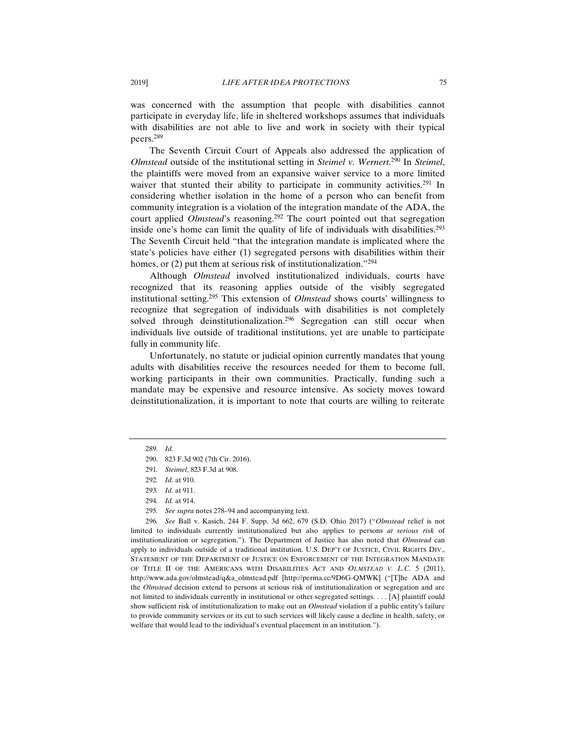was concerned with the assumption that people with disabilities cannot participate in everyday life, life in sheltered workshops assumes that individuals with disabilities are not able to live and work in society with their typical peers.289

The Seventh Circuit Court of Appeals also addressed the application of *Olmstead* outside of the institutional setting in *Steimel v. Wernert*. 290 In *Steimel*, the plaintiffs were moved from an expansive waiver service to a more limited waiver that stunted their ability to participate in community activities.<sup>291</sup> In considering whether isolation in the home of a person who can benefit from community integration is a violation of the integration mandate of the ADA, the court applied *Olmstead*'s reasoning.<sup>292</sup> The court pointed out that segregation inside one's home can limit the quality of life of individuals with disabilities.<sup>293</sup> The Seventh Circuit held "that the integration mandate is implicated where the state's policies have either (1) segregated persons with disabilities within their homes, or (2) put them at serious risk of institutionalization."<sup>294</sup>

Although *Olmstead* involved institutionalized individuals, courts have recognized that its reasoning applies outside of the visibly segregated institutional setting.295 This extension of *Olmstead* shows courts' willingness to recognize that segregation of individuals with disabilities is not completely solved through deinstitutionalization.<sup>296</sup> Segregation can still occur when individuals live outside of traditional institutions, yet are unable to participate fully in community life.

Unfortunately, no statute or judicial opinion currently mandates that young adults with disabilities receive the resources needed for them to become full, working participants in their own communities. Practically, funding such a mandate may be expensive and resource intensive. As society moves toward deinstitutionalization, it is important to note that courts are willing to reiterate

<sup>289</sup>*. Id.*

 <sup>290. 823</sup> F.3d 902 (7th Cir. 2016).

<sup>291</sup>*. Steimel*, 823 F.3d at 908.

<sup>292</sup>*. Id.* at 910.

<sup>293</sup>*. Id.* at 911.

<sup>294</sup>*. Id.* at 914.

<sup>295</sup>*. See supra* notes 278–94 and accompanying text.

<sup>296</sup>*. See* Ball v. Kasich, 244 F. Supp. 3d 662, 679 (S.D. Ohio 2017) ("*Olmstead* relief is not limited to individuals currently institutionalized but also applies to persons *at serious risk* of institutionalization or segregation."). The Department of Justice has also noted that *Olmstead* can apply to individuals outside of a traditional institution. U.S. DEP'T OF JUSTICE, CIVIL RIGHTS DIV., STATEMENT OF THE DEPARTMENT OF JUSTICE ON ENFORCEMENT OF THE INTEGRATION MANDATE OF TITLE II OF THE AMERICANS WITH DISABILITIES ACT AND *OLMSTEAD V. L.C.* 5 (2011), http://www.ada.gov/olmstead/q&a\_olmstead.pdf [http://perma.cc/9D6G-QMWK] ("[T]he ADA and the *Olmstead* decision extend to persons at serious risk of institutionalization or segregation and are not limited to individuals currently in institutional or other segregated settings. . . . [A] plaintiff could show sufficient risk of institutionalization to make out an *Olmstead* violation if a public entity's failure to provide community services or its cut to such services will likely cause a decline in health, safety, or welfare that would lead to the individual's eventual placement in an institution.").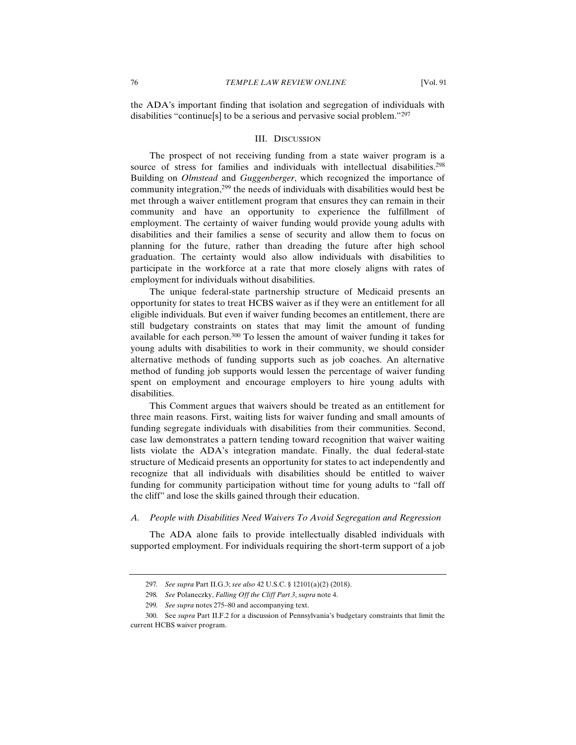the ADA's important finding that isolation and segregation of individuals with disabilities "continue[s] to be a serious and pervasive social problem."297

#### III. DISCUSSION

The prospect of not receiving funding from a state waiver program is a source of stress for families and individuals with intellectual disabilities.<sup>298</sup> Building on *Olmstead* and *Guggenberger*, which recognized the importance of community integration,299 the needs of individuals with disabilities would best be met through a waiver entitlement program that ensures they can remain in their community and have an opportunity to experience the fulfillment of employment. The certainty of waiver funding would provide young adults with disabilities and their families a sense of security and allow them to focus on planning for the future, rather than dreading the future after high school graduation. The certainty would also allow individuals with disabilities to participate in the workforce at a rate that more closely aligns with rates of employment for individuals without disabilities.

The unique federal-state partnership structure of Medicaid presents an opportunity for states to treat HCBS waiver as if they were an entitlement for all eligible individuals. But even if waiver funding becomes an entitlement, there are still budgetary constraints on states that may limit the amount of funding available for each person.<sup>300</sup> To lessen the amount of waiver funding it takes for young adults with disabilities to work in their community, we should consider alternative methods of funding supports such as job coaches. An alternative method of funding job supports would lessen the percentage of waiver funding spent on employment and encourage employers to hire young adults with disabilities.

This Comment argues that waivers should be treated as an entitlement for three main reasons. First, waiting lists for waiver funding and small amounts of funding segregate individuals with disabilities from their communities. Second, case law demonstrates a pattern tending toward recognition that waiver waiting lists violate the ADA's integration mandate. Finally, the dual federal-state structure of Medicaid presents an opportunity for states to act independently and recognize that all individuals with disabilities should be entitled to waiver funding for community participation without time for young adults to "fall off the cliff" and lose the skills gained through their education.

### *A. People with Disabilities Need Waivers To Avoid Segregation and Regression*

The ADA alone fails to provide intellectually disabled individuals with supported employment. For individuals requiring the short-term support of a job

<sup>297</sup>*. See supra* Part II.G.3; *see also* 42 U.S.C. § 12101(a)(2) (2018).

<sup>298</sup>*. See* Polaneczky, *Falling Off the Cliff Part 3*, *supra* note 4.

<sup>299</sup>*. See supra* notes 275–80 and accompanying text.

 <sup>300.</sup> See *supra* Part II.F.2 for a discussion of Pennsylvania's budgetary constraints that limit the current HCBS waiver program.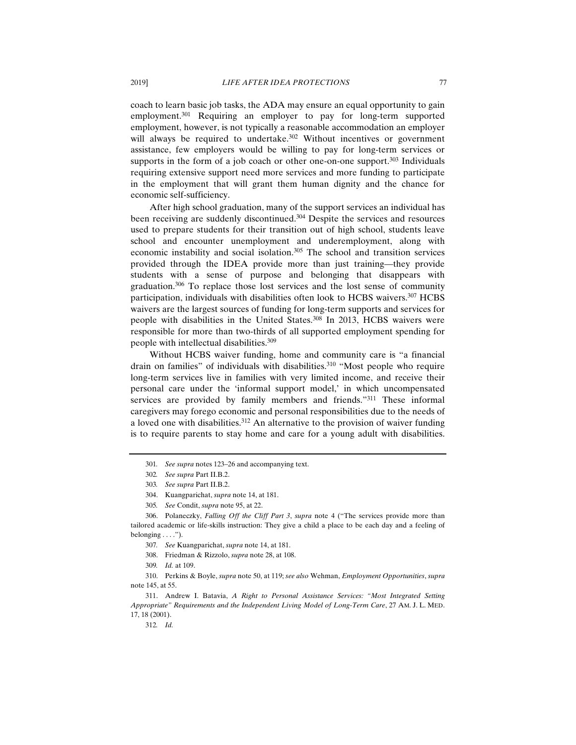coach to learn basic job tasks, the ADA may ensure an equal opportunity to gain employment.301 Requiring an employer to pay for long-term supported employment, however, is not typically a reasonable accommodation an employer will always be required to undertake.<sup>302</sup> Without incentives or government assistance, few employers would be willing to pay for long-term services or supports in the form of a job coach or other one-on-one support. $303$  Individuals requiring extensive support need more services and more funding to participate in the employment that will grant them human dignity and the chance for economic self-sufficiency.

After high school graduation, many of the support services an individual has been receiving are suddenly discontinued.<sup>304</sup> Despite the services and resources used to prepare students for their transition out of high school, students leave school and encounter unemployment and underemployment, along with economic instability and social isolation.305 The school and transition services provided through the IDEA provide more than just training—they provide students with a sense of purpose and belonging that disappears with graduation.306 To replace those lost services and the lost sense of community participation, individuals with disabilities often look to HCBS waivers.307 HCBS waivers are the largest sources of funding for long-term supports and services for people with disabilities in the United States.<sup>308</sup> In 2013, HCBS waivers were responsible for more than two-thirds of all supported employment spending for people with intellectual disabilities.309

Without HCBS waiver funding, home and community care is "a financial drain on families" of individuals with disabilities.<sup>310</sup> "Most people who require long-term services live in families with very limited income, and receive their personal care under the 'informal support model,' in which uncompensated services are provided by family members and friends."<sup>311</sup> These informal caregivers may forego economic and personal responsibilities due to the needs of a loved one with disabilities.<sup>312</sup> An alternative to the provision of waiver funding is to require parents to stay home and care for a young adult with disabilities.

 306. Polaneczky, *Falling Off the Cliff Part 3*, *supra* note 4 ("The services provide more than tailored academic or life-skills instruction: They give a child a place to be each day and a feeling of belonging . . . .").

309*. Id.* at 109.

 310. Perkins & Boyle, *supra* note 50, at 119; *see also* Wehman, *Employment Opportunities*, *supra* note 145, at 55.

 311. Andrew I. Batavia, *A Right to Personal Assistance Services: "Most Integrated Setting Appropriate" Requirements and the Independent Living Model of Long-Term Care*, 27 AM. J. L. MED. 17, 18 (2001).

312*. Id.*

<sup>301</sup>*. See supra* notes 123–26 and accompanying text.

<sup>302</sup>*. See supra* Part II.B.2.

<sup>303</sup>*. See supra* Part II.B.2.

 <sup>304.</sup> Kuangparichat, *supra* note 14, at 181.

<sup>305</sup>*. See* Condit, *supra* note 95, at 22.

<sup>307</sup>*. See* Kuangparichat, *supra* note 14, at 181.

 <sup>308.</sup> Friedman & Rizzolo, *supra* note 28, at 108.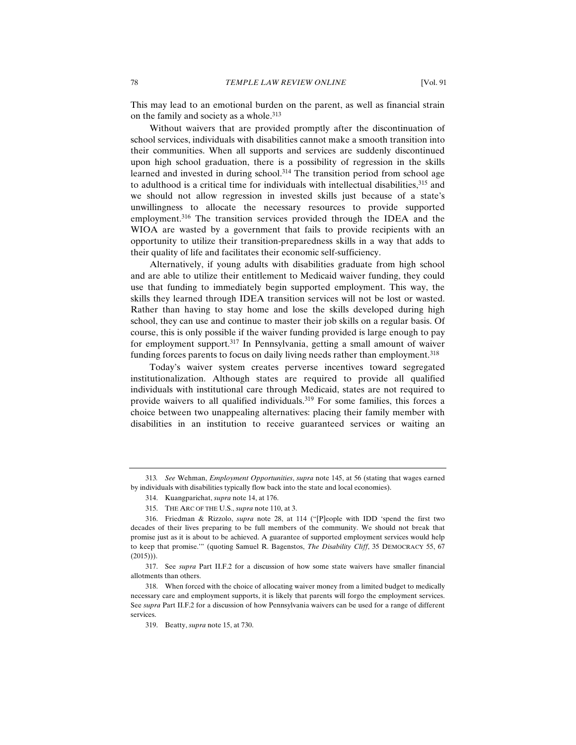This may lead to an emotional burden on the parent, as well as financial strain on the family and society as a whole.<sup>313</sup>

Without waivers that are provided promptly after the discontinuation of school services, individuals with disabilities cannot make a smooth transition into their communities. When all supports and services are suddenly discontinued upon high school graduation, there is a possibility of regression in the skills learned and invested in during school.<sup>314</sup> The transition period from school age to adulthood is a critical time for individuals with intellectual disabilities,315 and we should not allow regression in invested skills just because of a state's unwillingness to allocate the necessary resources to provide supported employment.316 The transition services provided through the IDEA and the WIOA are wasted by a government that fails to provide recipients with an opportunity to utilize their transition-preparedness skills in a way that adds to their quality of life and facilitates their economic self-sufficiency.

Alternatively, if young adults with disabilities graduate from high school and are able to utilize their entitlement to Medicaid waiver funding, they could use that funding to immediately begin supported employment. This way, the skills they learned through IDEA transition services will not be lost or wasted. Rather than having to stay home and lose the skills developed during high school, they can use and continue to master their job skills on a regular basis. Of course, this is only possible if the waiver funding provided is large enough to pay for employment support.317 In Pennsylvania, getting a small amount of waiver funding forces parents to focus on daily living needs rather than employment.<sup>318</sup>

Today's waiver system creates perverse incentives toward segregated institutionalization. Although states are required to provide all qualified individuals with institutional care through Medicaid, states are not required to provide waivers to all qualified individuals.<sup>319</sup> For some families, this forces a choice between two unappealing alternatives: placing their family member with disabilities in an institution to receive guaranteed services or waiting an

<sup>313</sup>*. See* Wehman, *Employment Opportunities*, *supra* note 145, at 56 (stating that wages earned by individuals with disabilities typically flow back into the state and local economies).

 <sup>314.</sup> Kuangparichat, *supra* note 14, at 176.

 <sup>315.</sup> THE ARC OF THE U.S., *supra* note 110, at 3.

 <sup>316.</sup> Friedman & Rizzolo, *supra* note 28, at 114 ("[P]eople with IDD 'spend the first two decades of their lives preparing to be full members of the community. We should not break that promise just as it is about to be achieved. A guarantee of supported employment services would help to keep that promise.'" (quoting Samuel R. Bagenstos, *The Disability Cliff*, 35 DEMOCRACY 55, 67  $(2015))$ .

 <sup>317.</sup> See *supra* Part II.F.2 for a discussion of how some state waivers have smaller financial allotments than others.

 <sup>318.</sup> When forced with the choice of allocating waiver money from a limited budget to medically necessary care and employment supports, it is likely that parents will forgo the employment services. See *supra* Part II.F.2 for a discussion of how Pennsylvania waivers can be used for a range of different services.

 <sup>319.</sup> Beatty, *supra* note 15, at 730.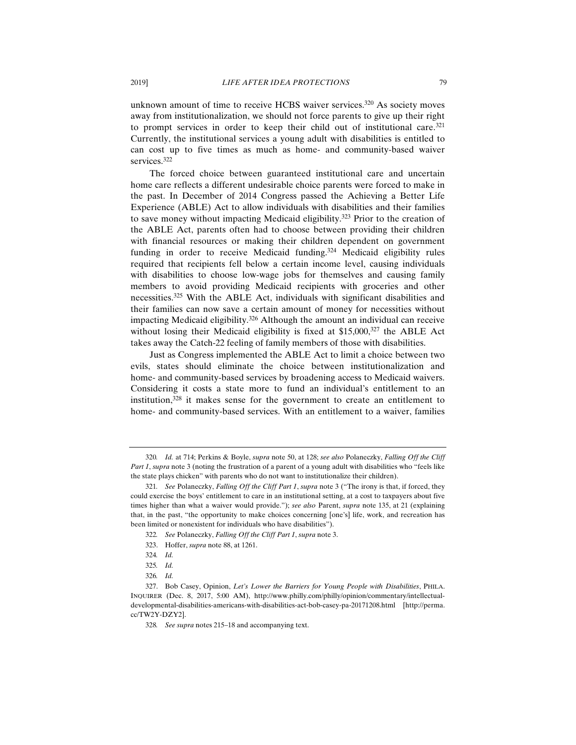unknown amount of time to receive HCBS waiver services.<sup>320</sup> As society moves away from institutionalization, we should not force parents to give up their right to prompt services in order to keep their child out of institutional care.<sup>321</sup> Currently, the institutional services a young adult with disabilities is entitled to can cost up to five times as much as home- and community-based waiver services.<sup>322</sup>

The forced choice between guaranteed institutional care and uncertain home care reflects a different undesirable choice parents were forced to make in the past. In December of 2014 Congress passed the Achieving a Better Life Experience (ABLE) Act to allow individuals with disabilities and their families to save money without impacting Medicaid eligibility.323 Prior to the creation of the ABLE Act, parents often had to choose between providing their children with financial resources or making their children dependent on government funding in order to receive Medicaid funding.<sup>324</sup> Medicaid eligibility rules required that recipients fell below a certain income level, causing individuals with disabilities to choose low-wage jobs for themselves and causing family members to avoid providing Medicaid recipients with groceries and other necessities.325 With the ABLE Act, individuals with significant disabilities and their families can now save a certain amount of money for necessities without impacting Medicaid eligibility.326 Although the amount an individual can receive without losing their Medicaid eligibility is fixed at \$15,000,<sup>327</sup> the ABLE Act takes away the Catch-22 feeling of family members of those with disabilities.

Just as Congress implemented the ABLE Act to limit a choice between two evils, states should eliminate the choice between institutionalization and home- and community-based services by broadening access to Medicaid waivers. Considering it costs a state more to fund an individual's entitlement to an institution,328 it makes sense for the government to create an entitlement to home- and community-based services. With an entitlement to a waiver, families

323. Hoffer, *supra* note 88, at 1261.

<sup>320</sup>*. Id.* at 714; Perkins & Boyle, *supra* note 50, at 128; *see also* Polaneczky, *Falling Off the Cliff Part 1*, *supra* note 3 (noting the frustration of a parent of a young adult with disabilities who "feels like the state plays chicken" with parents who do not want to institutionalize their children).

<sup>321</sup>*. See* Polaneczky, *Falling Off the Cliff Part 1*, *supra* note 3 ("The irony is that, if forced, they could exercise the boys' entitlement to care in an institutional setting, at a cost to taxpayers about five times higher than what a waiver would provide."); *see also* Parent, *supra* note 135, at 21 (explaining that, in the past, "the opportunity to make choices concerning [one's] life, work, and recreation has been limited or nonexistent for individuals who have disabilities").

<sup>322</sup>*. See* Polaneczky, *Falling Off the Cliff Part 1*, *supra* note 3.

<sup>324</sup>*. Id.*

<sup>325</sup>*. Id.*

<sup>326</sup>*. Id.*

 <sup>327.</sup> Bob Casey, Opinion, *Let's Lower the Barriers for Young People with Disabilities*, PHILA. INQUIRER (Dec. 8, 2017, 5:00 AM), http://www.philly.com/philly/opinion/commentary/intellectualdevelopmental-disabilities-americans-with-disabilities-act-bob-casey-pa-20171208.html [http://perma. cc/TW2Y-DZY2].

<sup>328</sup>*. See supra* notes 215–18 and accompanying text.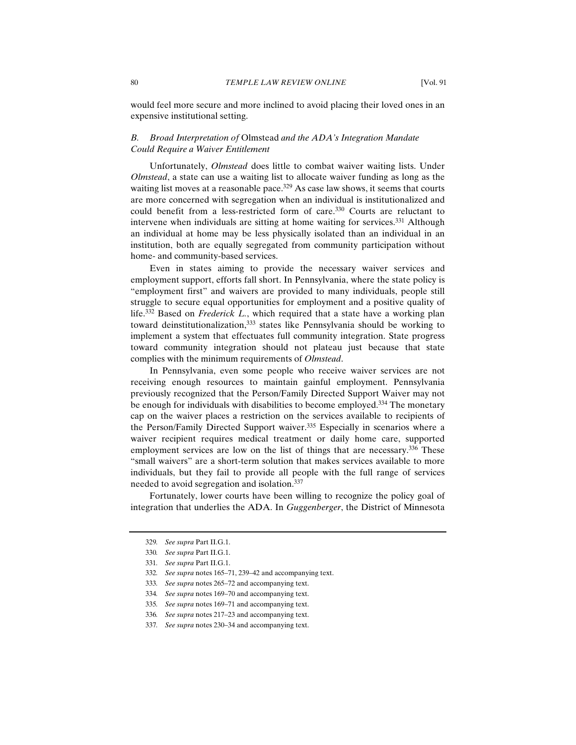would feel more secure and more inclined to avoid placing their loved ones in an expensive institutional setting.

# *B. Broad Interpretation of* Olmstead *and the ADA's Integration Mandate Could Require a Waiver Entitlement*

Unfortunately, *Olmstead* does little to combat waiver waiting lists. Under *Olmstead*, a state can use a waiting list to allocate waiver funding as long as the waiting list moves at a reasonable pace.<sup>329</sup> As case law shows, it seems that courts are more concerned with segregation when an individual is institutionalized and could benefit from a less-restricted form of care.330 Courts are reluctant to intervene when individuals are sitting at home waiting for services.<sup>331</sup> Although an individual at home may be less physically isolated than an individual in an institution, both are equally segregated from community participation without home- and community-based services.

Even in states aiming to provide the necessary waiver services and employment support, efforts fall short. In Pennsylvania, where the state policy is "employment first" and waivers are provided to many individuals, people still struggle to secure equal opportunities for employment and a positive quality of life.332 Based on *Frederick L.*, which required that a state have a working plan toward deinstitutionalization,<sup>333</sup> states like Pennsylvania should be working to implement a system that effectuates full community integration. State progress toward community integration should not plateau just because that state complies with the minimum requirements of *Olmstead*.

In Pennsylvania, even some people who receive waiver services are not receiving enough resources to maintain gainful employment. Pennsylvania previously recognized that the Person/Family Directed Support Waiver may not be enough for individuals with disabilities to become employed.<sup>334</sup> The monetary cap on the waiver places a restriction on the services available to recipients of the Person/Family Directed Support waiver.<sup>335</sup> Especially in scenarios where a waiver recipient requires medical treatment or daily home care, supported employment services are low on the list of things that are necessary.<sup>336</sup> These "small waivers" are a short-term solution that makes services available to more individuals, but they fail to provide all people with the full range of services needed to avoid segregation and isolation.<sup>337</sup>

Fortunately, lower courts have been willing to recognize the policy goal of integration that underlies the ADA. In *Guggenberger*, the District of Minnesota

<sup>329</sup>*. See supra* Part II.G.1.

<sup>330</sup>*. See supra* Part II.G.1.

<sup>331</sup>*. See supra* Part II.G.1.

<sup>332</sup>*. See supra* notes 165–71, 239–42 and accompanying text.

<sup>333</sup>*. See supra* notes 265–72 and accompanying text.

<sup>334</sup>*. See supra* notes 169–70 and accompanying text.

<sup>335</sup>*. See supra* notes 169–71 and accompanying text.

<sup>336</sup>*. See supra* notes 217–23 and accompanying text.

<sup>337</sup>*. See supra* notes 230–34 and accompanying text.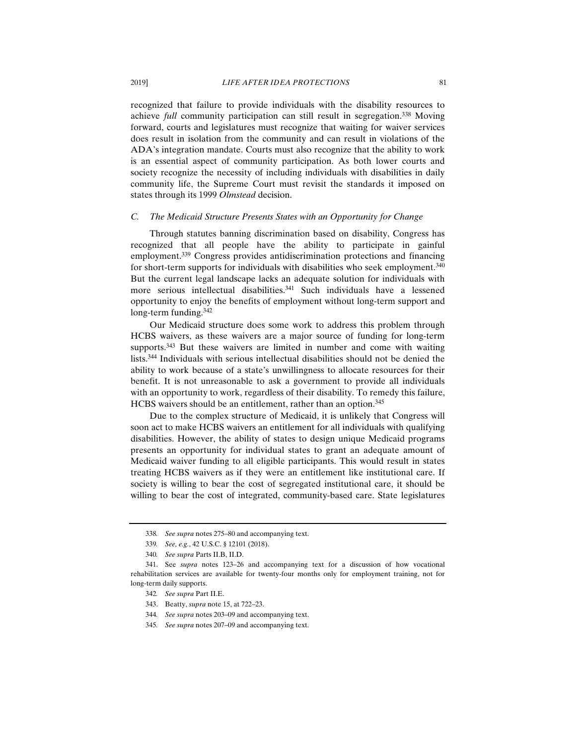recognized that failure to provide individuals with the disability resources to achieve *full* community participation can still result in segregation.<sup>338</sup> Moving forward, courts and legislatures must recognize that waiting for waiver services does result in isolation from the community and can result in violations of the ADA's integration mandate. Courts must also recognize that the ability to work is an essential aspect of community participation. As both lower courts and society recognize the necessity of including individuals with disabilities in daily community life, the Supreme Court must revisit the standards it imposed on states through its 1999 *Olmstead* decision.

# *C. The Medicaid Structure Presents States with an Opportunity for Change*

Through statutes banning discrimination based on disability, Congress has recognized that all people have the ability to participate in gainful employment.339 Congress provides antidiscrimination protections and financing for short-term supports for individuals with disabilities who seek employment.340 But the current legal landscape lacks an adequate solution for individuals with more serious intellectual disabilities.341 Such individuals have a lessened opportunity to enjoy the benefits of employment without long-term support and long-term funding.342

Our Medicaid structure does some work to address this problem through HCBS waivers, as these waivers are a major source of funding for long-term supports.<sup>343</sup> But these waivers are limited in number and come with waiting lists.344 Individuals with serious intellectual disabilities should not be denied the ability to work because of a state's unwillingness to allocate resources for their benefit. It is not unreasonable to ask a government to provide all individuals with an opportunity to work, regardless of their disability. To remedy this failure, HCBS waivers should be an entitlement, rather than an option.<sup>345</sup>

Due to the complex structure of Medicaid, it is unlikely that Congress will soon act to make HCBS waivers an entitlement for all individuals with qualifying disabilities. However, the ability of states to design unique Medicaid programs presents an opportunity for individual states to grant an adequate amount of Medicaid waiver funding to all eligible participants. This would result in states treating HCBS waivers as if they were an entitlement like institutional care. If society is willing to bear the cost of segregated institutional care, it should be willing to bear the cost of integrated, community-based care. State legislatures

<sup>338</sup>*. See supra* notes 275–80 and accompanying text.

<sup>339</sup>*. See, e.g.*, 42 U.S.C. § 12101 (2018).

<sup>340</sup>*. See supra* Parts II.B, II.D.

 <sup>341.</sup> See *supra* notes 123–26 and accompanying text for a discussion of how vocational rehabilitation services are available for twenty-four months only for employment training, not for long-term daily supports.

<sup>342</sup>*. See supra* Part II.E.

 <sup>343.</sup> Beatty, *supra* note 15, at 722–23.

<sup>344</sup>*. See supra* notes 203–09 and accompanying text.

<sup>345</sup>*. See supra* notes 207–09 and accompanying text.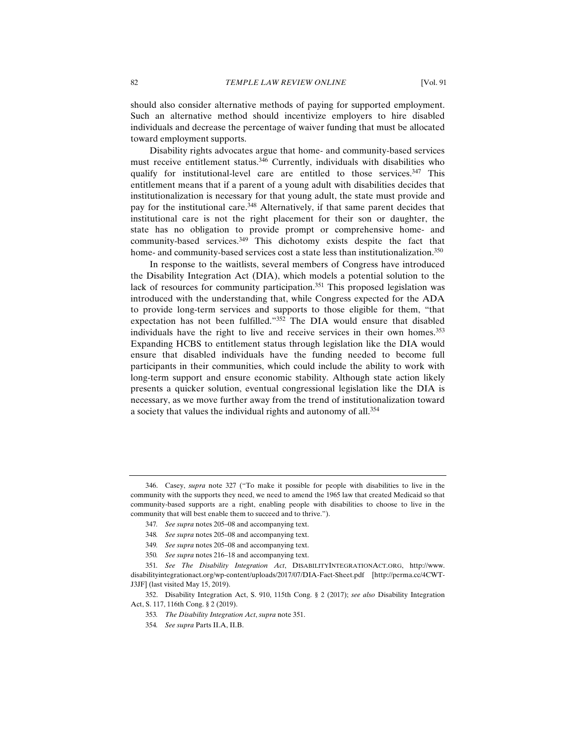should also consider alternative methods of paying for supported employment. Such an alternative method should incentivize employers to hire disabled individuals and decrease the percentage of waiver funding that must be allocated toward employment supports.

Disability rights advocates argue that home- and community-based services must receive entitlement status.346 Currently, individuals with disabilities who qualify for institutional-level care are entitled to those services.<sup>347</sup> This entitlement means that if a parent of a young adult with disabilities decides that institutionalization is necessary for that young adult, the state must provide and pay for the institutional care.<sup>348</sup> Alternatively, if that same parent decides that institutional care is not the right placement for their son or daughter, the state has no obligation to provide prompt or comprehensive home- and community-based services.349 This dichotomy exists despite the fact that home- and community-based services cost a state less than institutionalization.<sup>350</sup>

In response to the waitlists, several members of Congress have introduced the Disability Integration Act (DIA), which models a potential solution to the lack of resources for community participation.<sup>351</sup> This proposed legislation was introduced with the understanding that, while Congress expected for the ADA to provide long-term services and supports to those eligible for them, "that expectation has not been fulfilled."352 The DIA would ensure that disabled individuals have the right to live and receive services in their own homes.353 Expanding HCBS to entitlement status through legislation like the DIA would ensure that disabled individuals have the funding needed to become full participants in their communities, which could include the ability to work with long-term support and ensure economic stability. Although state action likely presents a quicker solution, eventual congressional legislation like the DIA is necessary, as we move further away from the trend of institutionalization toward a society that values the individual rights and autonomy of all.354

 <sup>346.</sup> Casey, *supra* note 327 ("To make it possible for people with disabilities to live in the community with the supports they need, we need to amend the 1965 law that created Medicaid so that community-based supports are a right, enabling people with disabilities to choose to live in the community that will best enable them to succeed and to thrive.").

<sup>347</sup>*. See supra* notes 205–08 and accompanying text.

<sup>348</sup>*. See supra* notes 205–08 and accompanying text.

<sup>349</sup>*. See supra* notes 205–08 and accompanying text.

<sup>350</sup>*. See supra* notes 216–18 and accompanying text.

<sup>351</sup>*. See The Disability Integration Act*, DISABILITYINTEGRATIONACT.ORG, http://www. disabilityintegrationact.org/wp-content/uploads/2017/07/DIA-Fact-Sheet.pdf [http://perma.cc/4CWT-J3JF] (last visited May 15, 2019).

 <sup>352.</sup> Disability Integration Act, S. 910, 115th Cong. § 2 (2017); *see also* Disability Integration Act, S. 117, 116th Cong. § 2 (2019).

<sup>353</sup>*. The Disability Integration Act*, *supra* note 351.

<sup>354</sup>*. See supra* Parts II.A, II.B.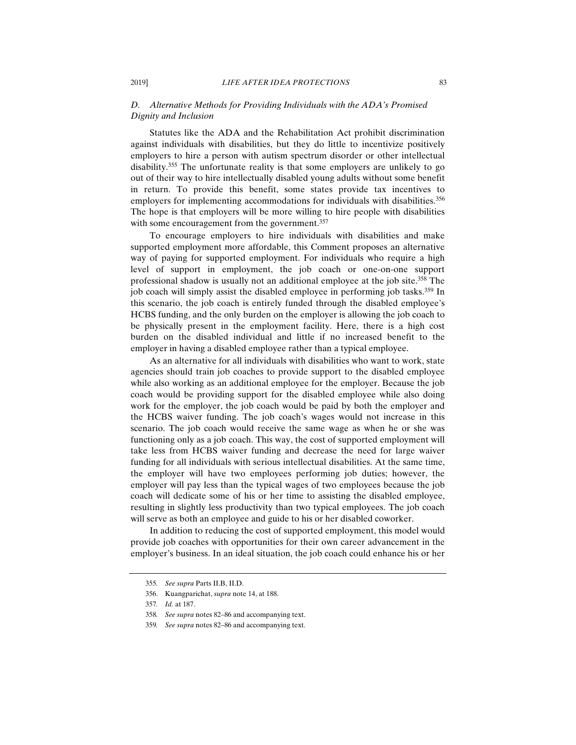# *D. Alternative Methods for Providing Individuals with the ADA's Promised Dignity and Inclusion*

Statutes like the ADA and the Rehabilitation Act prohibit discrimination against individuals with disabilities, but they do little to incentivize positively employers to hire a person with autism spectrum disorder or other intellectual disability.355 The unfortunate reality is that some employers are unlikely to go out of their way to hire intellectually disabled young adults without some benefit in return. To provide this benefit, some states provide tax incentives to employers for implementing accommodations for individuals with disabilities.<sup>356</sup> The hope is that employers will be more willing to hire people with disabilities with some encouragement from the government.<sup>357</sup>

To encourage employers to hire individuals with disabilities and make supported employment more affordable, this Comment proposes an alternative way of paying for supported employment. For individuals who require a high level of support in employment, the job coach or one-on-one support professional shadow is usually not an additional employee at the job site.358 The job coach will simply assist the disabled employee in performing job tasks.<sup>359</sup> In this scenario, the job coach is entirely funded through the disabled employee's HCBS funding, and the only burden on the employer is allowing the job coach to be physically present in the employment facility. Here, there is a high cost burden on the disabled individual and little if no increased benefit to the employer in having a disabled employee rather than a typical employee.

As an alternative for all individuals with disabilities who want to work, state agencies should train job coaches to provide support to the disabled employee while also working as an additional employee for the employer. Because the job coach would be providing support for the disabled employee while also doing work for the employer, the job coach would be paid by both the employer and the HCBS waiver funding. The job coach's wages would not increase in this scenario. The job coach would receive the same wage as when he or she was functioning only as a job coach. This way, the cost of supported employment will take less from HCBS waiver funding and decrease the need for large waiver funding for all individuals with serious intellectual disabilities. At the same time, the employer will have two employees performing job duties; however, the employer will pay less than the typical wages of two employees because the job coach will dedicate some of his or her time to assisting the disabled employee, resulting in slightly less productivity than two typical employees. The job coach will serve as both an employee and guide to his or her disabled coworker.

In addition to reducing the cost of supported employment, this model would provide job coaches with opportunities for their own career advancement in the employer's business. In an ideal situation, the job coach could enhance his or her

<sup>355</sup>*. See supra* Parts II.B, II.D.

 <sup>356.</sup> Kuangparichat, *supra* note 14, at 188.

<sup>357</sup>*. Id.* at 187.

<sup>358</sup>*. See supra* notes 82–86 and accompanying text.

<sup>359</sup>*. See supra* notes 82–86 and accompanying text.